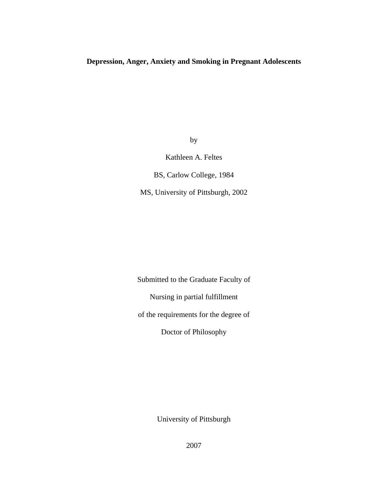## **Depression, Anger, Anxiety and Smoking in Pregnant Adolescents**

by

Kathleen A. Feltes

BS, Carlow College, 1984

MS, University of Pittsburgh, 2002

Submitted to the Graduate Faculty of Nursing in partial fulfillment of the requirements for the degree of Doctor of Philosophy

University of Pittsburgh

2007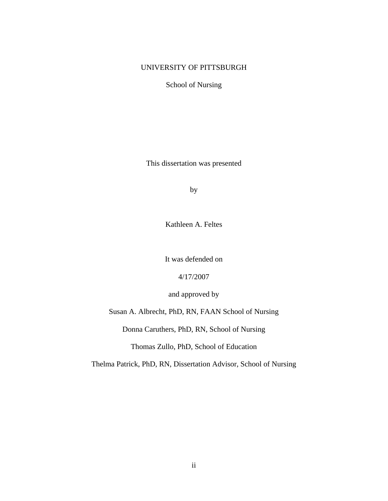## UNIVERSITY OF PITTSBURGH

School of Nursing

This dissertation was presented

by

Kathleen A. Feltes

It was defended on

4/17/2007

and approved by

Susan A. Albrecht, PhD, RN, FAAN School of Nursing

Donna Caruthers, PhD, RN, School of Nursing

Thomas Zullo, PhD, School of Education

Thelma Patrick, PhD, RN, Dissertation Advisor, School of Nursing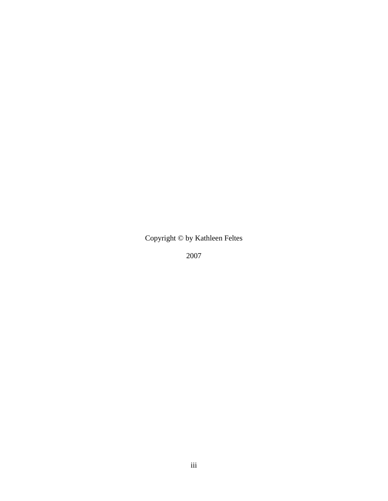Copyright © by Kathleen Feltes

2007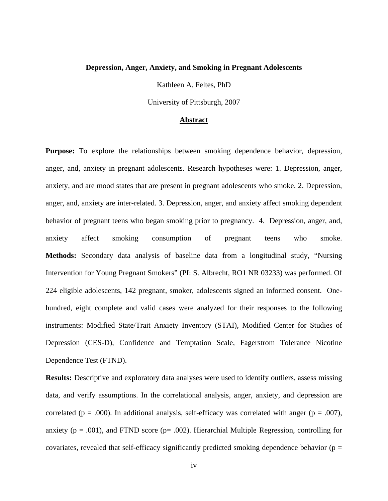#### **Depression, Anger, Anxiety, and Smoking in Pregnant Adolescents**

Kathleen A. Feltes, PhD

University of Pittsburgh, 2007

#### **Abstract**

**Purpose:** To explore the relationships between smoking dependence behavior, depression, anger, and, anxiety in pregnant adolescents. Research hypotheses were: 1. Depression, anger, anxiety, and are mood states that are present in pregnant adolescents who smoke. 2. Depression, anger, and, anxiety are inter-related. 3. Depression, anger, and anxiety affect smoking dependent behavior of pregnant teens who began smoking prior to pregnancy. 4. Depression, anger, and, anxiety affect smoking consumption of pregnant teens who smoke. **Methods:** Secondary data analysis of baseline data from a longitudinal study, "Nursing Intervention for Young Pregnant Smokers" (PI: S. Albrecht, RO1 NR 03233) was performed. Of 224 eligible adolescents, 142 pregnant, smoker, adolescents signed an informed consent. Onehundred, eight complete and valid cases were analyzed for their responses to the following instruments: Modified State/Trait Anxiety Inventory (STAI), Modified Center for Studies of Depression (CES-D), Confidence and Temptation Scale, Fagerstrom Tolerance Nicotine Dependence Test (FTND).

**Results:** Descriptive and exploratory data analyses were used to identify outliers, assess missing data, and verify assumptions. In the correlational analysis, anger, anxiety, and depression are correlated ( $p = .000$ ). In additional analysis, self-efficacy was correlated with anger ( $p = .007$ ), anxiety ( $p = .001$ ), and FTND score ( $p = .002$ ). Hierarchial Multiple Regression, controlling for covariates, revealed that self-efficacy significantly predicted smoking dependence behavior ( $p =$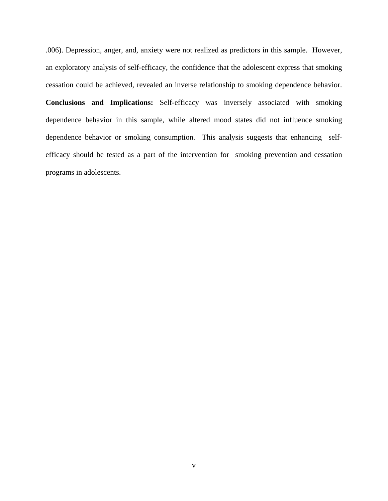.006). Depression, anger, and, anxiety were not realized as predictors in this sample. However, an exploratory analysis of self-efficacy, the confidence that the adolescent express that smoking cessation could be achieved, revealed an inverse relationship to smoking dependence behavior. **Conclusions and Implications:** Self-efficacy was inversely associated with smoking dependence behavior in this sample, while altered mood states did not influence smoking dependence behavior or smoking consumption. This analysis suggests that enhancing selfefficacy should be tested as a part of the intervention for smoking prevention and cessation programs in adolescents.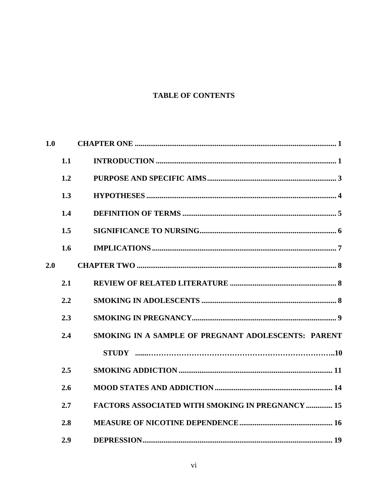# **TABLE OF CONTENTS**

| 1.0 |     |                                                         |
|-----|-----|---------------------------------------------------------|
|     | 1.1 |                                                         |
|     | 1.2 |                                                         |
|     | 1.3 |                                                         |
|     | 1.4 |                                                         |
|     | 1.5 |                                                         |
|     | 1.6 |                                                         |
| 2.0 |     |                                                         |
|     | 2.1 |                                                         |
|     | 2.2 |                                                         |
|     | 2.3 |                                                         |
|     | 2.4 | SMOKING IN A SAMPLE OF PREGNANT ADOLESCENTS: PARENT     |
|     |     |                                                         |
|     | 2.5 |                                                         |
|     | 2.6 |                                                         |
|     | 2.7 | <b>FACTORS ASSOCIATED WITH SMOKING IN PREGNANCY  15</b> |
|     | 2.8 |                                                         |
|     | 2.9 |                                                         |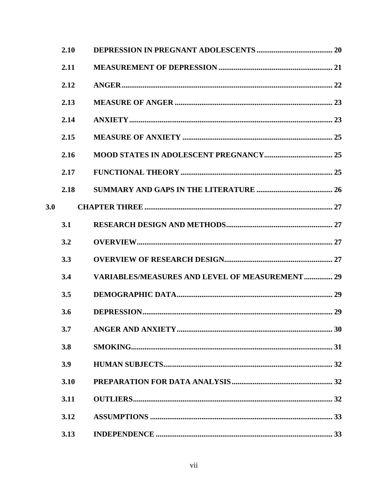|     | 2.10 |                                                        |  |
|-----|------|--------------------------------------------------------|--|
|     | 2.11 |                                                        |  |
|     | 2.12 |                                                        |  |
|     | 2.13 |                                                        |  |
|     | 2.14 |                                                        |  |
|     | 2.15 |                                                        |  |
|     | 2.16 |                                                        |  |
|     | 2.17 |                                                        |  |
|     | 2.18 |                                                        |  |
| 3.0 |      |                                                        |  |
|     | 3.1  |                                                        |  |
|     | 3.2  |                                                        |  |
|     | 3.3  |                                                        |  |
|     | 3.4  | <b>VARIABLES/MEASURES AND LEVEL OF MEASUREMENT  29</b> |  |
|     | 3.5  |                                                        |  |
|     | 3.6  |                                                        |  |
|     | 3.7  |                                                        |  |
|     | 3.8  |                                                        |  |
|     | 3.9  |                                                        |  |
|     | 3.10 |                                                        |  |
|     | 3.11 |                                                        |  |
|     | 3.12 |                                                        |  |
|     | 3.13 |                                                        |  |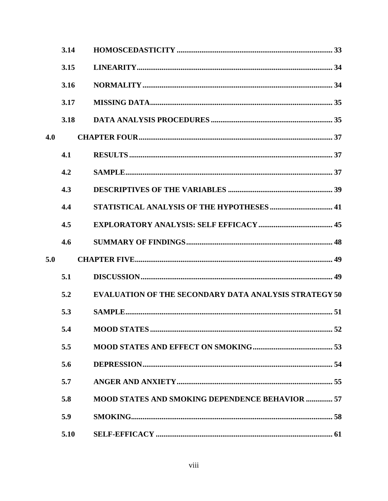|     | 3.14 |                                                              |
|-----|------|--------------------------------------------------------------|
|     | 3.15 |                                                              |
|     | 3.16 |                                                              |
|     | 3.17 |                                                              |
|     | 3.18 |                                                              |
| 4.0 |      |                                                              |
|     | 4.1  |                                                              |
|     | 4.2  |                                                              |
|     | 4.3  |                                                              |
|     | 4.4  |                                                              |
|     | 4.5  |                                                              |
|     | 4.6  |                                                              |
| 5.0 |      |                                                              |
|     | 5.1  |                                                              |
|     | 5.2  | <b>EVALUATION OF THE SECONDARY DATA ANALYSIS STRATEGY 50</b> |
|     | 5.3  |                                                              |
|     | 5.4  |                                                              |
|     | 5.5  |                                                              |
|     | 5.6  |                                                              |
|     | 5.7  |                                                              |
|     | 5.8  | <b>MOOD STATES AND SMOKING DEPENDENCE BEHAVIOR  57</b>       |
|     | 5.9  |                                                              |
|     | 5.10 |                                                              |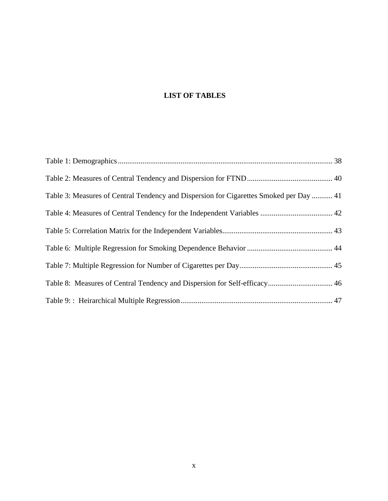# **LIST OF TABLES**

| Table 3: Measures of Central Tendency and Dispersion for Cigarettes Smoked per Day  41 |  |
|----------------------------------------------------------------------------------------|--|
|                                                                                        |  |
|                                                                                        |  |
|                                                                                        |  |
|                                                                                        |  |
|                                                                                        |  |
|                                                                                        |  |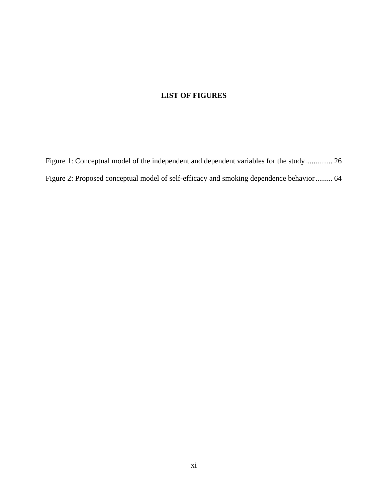## **LIST OF FIGURES**

[Figure 1: Conceptual model of the independent and dependent variables for the study](#page-36-0) .............. 26 [Figure 2: Proposed conceptual model of self-efficacy and smoking dependence behavior......... 64](#page-74-0)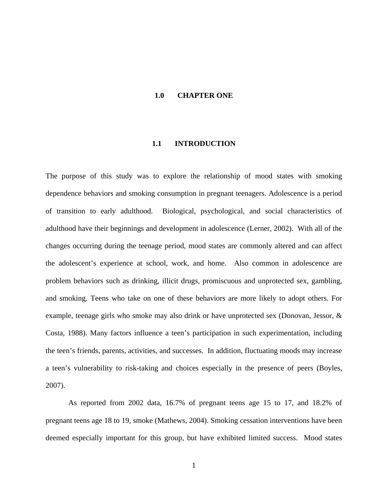## **1.0 CHAPTER ONE**

#### **1.1 INTRODUCTION**

<span id="page-11-0"></span>The purpose of this study was to explore the relationship of mood states with smoking dependence behaviors and smoking consumption in pregnant teenagers. Adolescence is a period of transition to early adulthood. Biological, psychological, and social characteristics of adulthood have their beginnings and development in adolescence (Lerner, 2002). With all of the changes occurring during the teenage period, mood states are commonly altered and can affect the adolescent's experience at school, work, and home. Also common in adolescence are problem behaviors such as drinking, illicit drugs, promiscuous and unprotected sex, gambling, and smoking. Teens who take on one of these behaviors are more likely to adopt others. For example, teenage girls who smoke may also drink or have unprotected sex (Donovan, Jessor, & Costa, 1988). Many factors influence a teen's participation in such experimentation, including the teen's friends, parents, activities, and successes. In addition, fluctuating moods may increase a teen's vulnerability to risk-taking and choices especially in the presence of peers (Boyles, 2007).

As reported from 2002 data, 16.7% of pregnant teens age 15 to 17, and 18.2% of pregnant teens age 18 to 19, smoke (Mathews, 2004). Smoking cessation interventions have been deemed especially important for this group, but have exhibited limited success. Mood states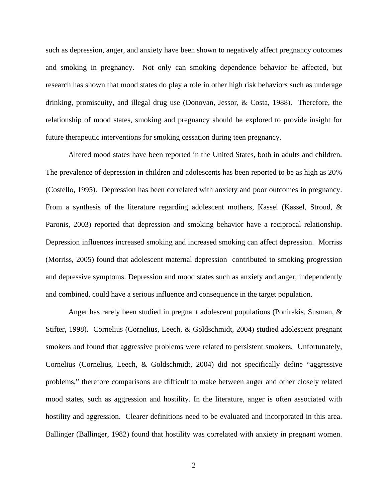such as depression, anger, and anxiety have been shown to negatively affect pregnancy outcomes and smoking in pregnancy. Not only can smoking dependence behavior be affected, but research has shown that mood states do play a role in other high risk behaviors such as underage drinking, promiscuity, and illegal drug use (Donovan, Jessor, & Costa, 1988). Therefore, the relationship of mood states, smoking and pregnancy should be explored to provide insight for future therapeutic interventions for smoking cessation during teen pregnancy.

Altered mood states have been reported in the United States, both in adults and children. The prevalence of depression in children and adolescents has been reported to be as high as 20% (Costello, 1995). Depression has been correlated with anxiety and poor outcomes in pregnancy. From a synthesis of the literature regarding adolescent mothers, Kassel (Kassel, Stroud, & Paronis, 2003) reported that depression and smoking behavior have a reciprocal relationship. Depression influences increased smoking and increased smoking can affect depression. Morriss (Morriss, 2005) found that adolescent maternal depression contributed to smoking progression and depressive symptoms. Depression and mood states such as anxiety and anger, independently and combined, could have a serious influence and consequence in the target population.

Anger has rarely been studied in pregnant adolescent populations (Ponirakis, Susman, & Stifter, 1998). Cornelius (Cornelius, Leech, & Goldschmidt, 2004) studied adolescent pregnant smokers and found that aggressive problems were related to persistent smokers. Unfortunately, Cornelius (Cornelius, Leech, & Goldschmidt, 2004) did not specifically define "aggressive problems," therefore comparisons are difficult to make between anger and other closely related mood states, such as aggression and hostility. In the literature, anger is often associated with hostility and aggression. Clearer definitions need to be evaluated and incorporated in this area. Ballinger (Ballinger, 1982) found that hostility was correlated with anxiety in pregnant women.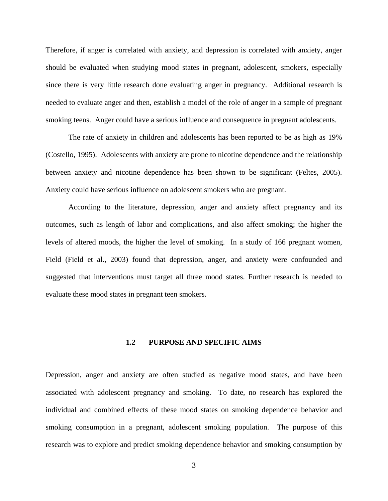<span id="page-13-0"></span>Therefore, if anger is correlated with anxiety, and depression is correlated with anxiety, anger should be evaluated when studying mood states in pregnant, adolescent, smokers, especially since there is very little research done evaluating anger in pregnancy. Additional research is needed to evaluate anger and then, establish a model of the role of anger in a sample of pregnant smoking teens. Anger could have a serious influence and consequence in pregnant adolescents.

The rate of anxiety in children and adolescents has been reported to be as high as 19% (Costello, 1995). Adolescents with anxiety are prone to nicotine dependence and the relationship between anxiety and nicotine dependence has been shown to be significant (Feltes, 2005). Anxiety could have serious influence on adolescent smokers who are pregnant.

According to the literature, depression, anger and anxiety affect pregnancy and its outcomes, such as length of labor and complications, and also affect smoking; the higher the levels of altered moods, the higher the level of smoking. In a study of 166 pregnant women, Field (Field et al., 2003) found that depression, anger, and anxiety were confounded and suggested that interventions must target all three mood states. Further research is needed to evaluate these mood states in pregnant teen smokers.

## **1.2 PURPOSE AND SPECIFIC AIMS**

Depression, anger and anxiety are often studied as negative mood states, and have been associated with adolescent pregnancy and smoking. To date, no research has explored the individual and combined effects of these mood states on smoking dependence behavior and smoking consumption in a pregnant, adolescent smoking population. The purpose of this research was to explore and predict smoking dependence behavior and smoking consumption by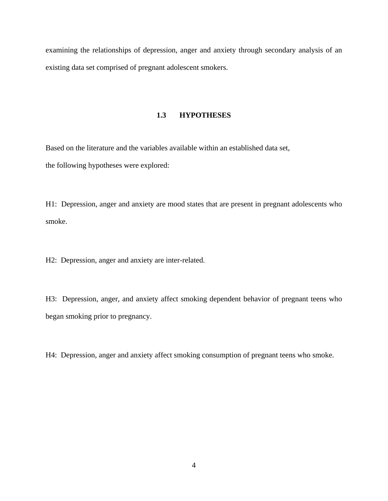<span id="page-14-0"></span>examining the relationships of depression, anger and anxiety through secondary analysis of an existing data set comprised of pregnant adolescent smokers.

## **1.3 HYPOTHESES**

Based on the literature and the variables available within an established data set, the following hypotheses were explored:

H1: Depression, anger and anxiety are mood states that are present in pregnant adolescents who smoke.

H2: Depression, anger and anxiety are inter-related.

H3: Depression, anger, and anxiety affect smoking dependent behavior of pregnant teens who began smoking prior to pregnancy.

H4: Depression, anger and anxiety affect smoking consumption of pregnant teens who smoke.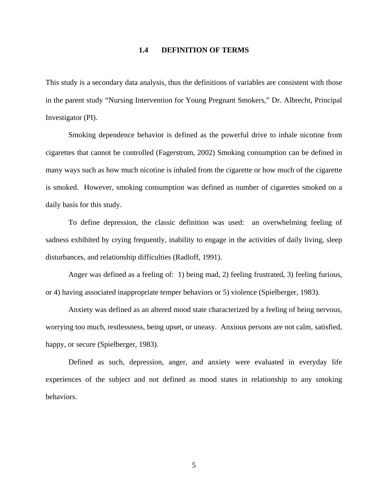### **1.4 DEFINITION OF TERMS**

<span id="page-15-0"></span>This study is a secondary data analysis, thus the definitions of variables are consistent with those in the parent study "Nursing Intervention for Young Pregnant Smokers," Dr. Albrecht, Principal Investigator (PI).

Smoking dependence behavior is defined as the powerful drive to inhale nicotine from cigarettes that cannot be controlled (Fagerstrom, 2002) Smoking consumption can be defined in many ways such as how much nicotine is inhaled from the cigarette or how much of the cigarette is smoked. However, smoking consumption was defined as number of cigarettes smoked on a daily basis for this study.

To define depression, the classic definition was used: an overwhelming feeling of sadness exhibited by crying frequently, inability to engage in the activities of daily living, sleep disturbances, and relationship difficulties (Radloff, 1991).

Anger was defined as a feeling of: 1) being mad, 2) feeling frustrated, 3) feeling furious, or 4) having associated inappropriate temper behaviors or 5) violence (Spielberger, 1983).

Anxiety was defined as an altered mood state characterized by a feeling of being nervous, worrying too much, restlessness, being upset, or uneasy. Anxious persons are not calm, satisfied, happy, or secure (Spielberger, 1983).

Defined as such, depression, anger, and anxiety were evaluated in everyday life experiences of the subject and not defined as mood states in relationship to any smoking behaviors.

5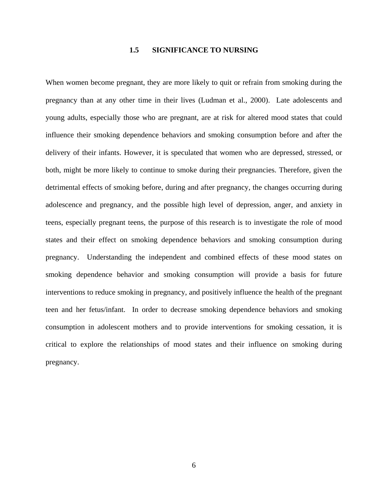### **1.5 SIGNIFICANCE TO NURSING**

<span id="page-16-0"></span>When women become pregnant, they are more likely to quit or refrain from smoking during the pregnancy than at any other time in their lives (Ludman et al., 2000). Late adolescents and young adults, especially those who are pregnant, are at risk for altered mood states that could influence their smoking dependence behaviors and smoking consumption before and after the delivery of their infants. However, it is speculated that women who are depressed, stressed, or both, might be more likely to continue to smoke during their pregnancies. Therefore, given the detrimental effects of smoking before, during and after pregnancy, the changes occurring during adolescence and pregnancy, and the possible high level of depression, anger, and anxiety in teens, especially pregnant teens, the purpose of this research is to investigate the role of mood states and their effect on smoking dependence behaviors and smoking consumption during pregnancy. Understanding the independent and combined effects of these mood states on smoking dependence behavior and smoking consumption will provide a basis for future interventions to reduce smoking in pregnancy, and positively influence the health of the pregnant teen and her fetus/infant. In order to decrease smoking dependence behaviors and smoking consumption in adolescent mothers and to provide interventions for smoking cessation, it is critical to explore the relationships of mood states and their influence on smoking during pregnancy.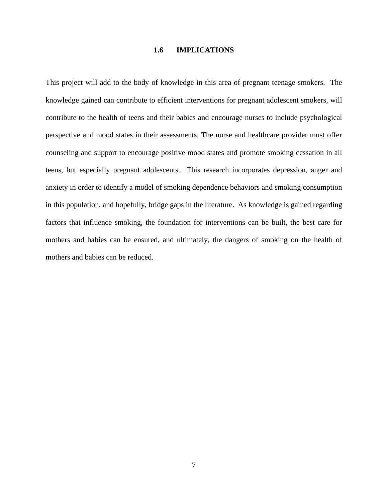### **1.6 IMPLICATIONS**

<span id="page-17-0"></span>This project will add to the body of knowledge in this area of pregnant teenage smokers. The knowledge gained can contribute to efficient interventions for pregnant adolescent smokers, will contribute to the health of teens and their babies and encourage nurses to include psychological perspective and mood states in their assessments. The nurse and healthcare provider must offer counseling and support to encourage positive mood states and promote smoking cessation in all teens, but especially pregnant adolescents. This research incorporates depression, anger and anxiety in order to identify a model of smoking dependence behaviors and smoking consumption in this population, and hopefully, bridge gaps in the literature. As knowledge is gained regarding factors that influence smoking, the foundation for interventions can be built, the best care for mothers and babies can be ensured, and ultimately, the dangers of smoking on the health of mothers and babies can be reduced.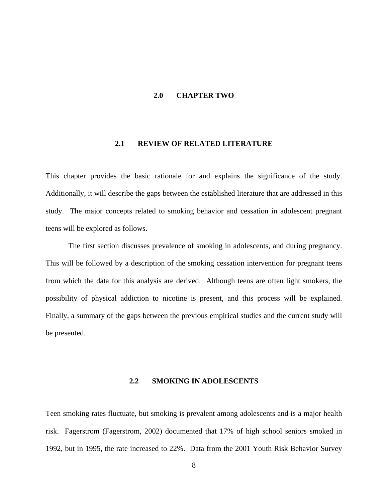## **2.0 CHAPTER TWO**

## **2.1 REVIEW OF RELATED LITERATURE**

<span id="page-18-0"></span>This chapter provides the basic rationale for and explains the significance of the study. Additionally, it will describe the gaps between the established literature that are addressed in this study. The major concepts related to smoking behavior and cessation in adolescent pregnant teens will be explored as follows.

The first section discusses prevalence of smoking in adolescents, and during pregnancy. This will be followed by a description of the smoking cessation intervention for pregnant teens from which the data for this analysis are derived. Although teens are often light smokers, the possibility of physical addiction to nicotine is present, and this process will be explained. Finally, a summary of the gaps between the previous empirical studies and the current study will be presented.

## **2.2 SMOKING IN ADOLESCENTS**

Teen smoking rates fluctuate, but smoking is prevalent among adolescents and is a major health risk. Fagerstrom (Fagerstrom, 2002) documented that 17% of high school seniors smoked in 1992, but in 1995, the rate increased to 22%. Data from the 2001 Youth Risk Behavior Survey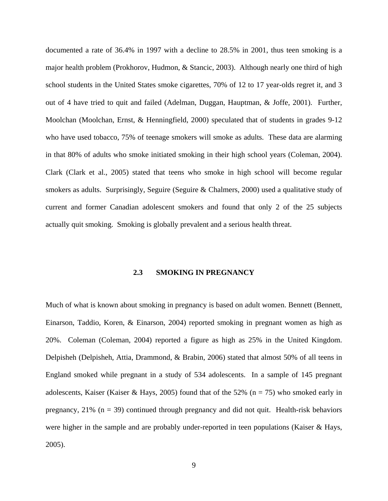<span id="page-19-0"></span>documented a rate of 36.4% in 1997 with a decline to 28.5% in 2001, thus teen smoking is a major health problem (Prokhorov, Hudmon, & Stancic, 2003). Although nearly one third of high school students in the United States smoke cigarettes, 70% of 12 to 17 year-olds regret it, and 3 out of 4 have tried to quit and failed (Adelman, Duggan, Hauptman, & Joffe, 2001). Further, Moolchan (Moolchan, Ernst, & Henningfield, 2000) speculated that of students in grades 9-12 who have used tobacco, 75% of teenage smokers will smoke as adults. These data are alarming in that 80% of adults who smoke initiated smoking in their high school years (Coleman, 2004). Clark (Clark et al., 2005) stated that teens who smoke in high school will become regular smokers as adults. Surprisingly, Seguire (Seguire & Chalmers, 2000) used a qualitative study of current and former Canadian adolescent smokers and found that only 2 of the 25 subjects actually quit smoking. Smoking is globally prevalent and a serious health threat.

## **2.3 SMOKING IN PREGNANCY**

Much of what is known about smoking in pregnancy is based on adult women. Bennett (Bennett, Einarson, Taddio, Koren, & Einarson, 2004) reported smoking in pregnant women as high as 20%. Coleman (Coleman, 2004) reported a figure as high as 25% in the United Kingdom. Delpisheh (Delpisheh, Attia, Drammond, & Brabin, 2006) stated that almost 50% of all teens in England smoked while pregnant in a study of 534 adolescents. In a sample of 145 pregnant adolescents, Kaiser (Kaiser & Hays, 2005) found that of the 52% ( $n = 75$ ) who smoked early in pregnancy,  $21\%$  (n = 39) continued through pregnancy and did not quit. Health-risk behaviors were higher in the sample and are probably under-reported in teen populations (Kaiser & Hays, 2005).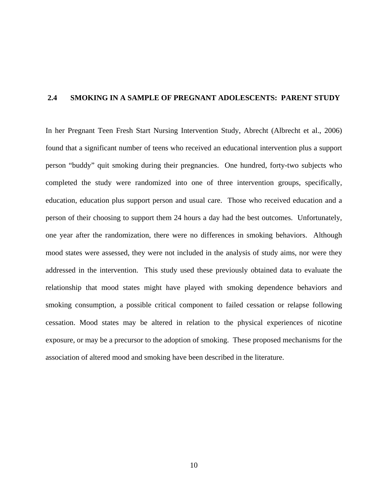## <span id="page-20-0"></span>**2.4 SMOKING IN A SAMPLE OF PREGNANT ADOLESCENTS: PARENT STUDY**

In her Pregnant Teen Fresh Start Nursing Intervention Study, Abrecht (Albrecht et al., 2006) found that a significant number of teens who received an educational intervention plus a support person "buddy" quit smoking during their pregnancies. One hundred, forty-two subjects who completed the study were randomized into one of three intervention groups, specifically, education, education plus support person and usual care. Those who received education and a person of their choosing to support them 24 hours a day had the best outcomes. Unfortunately, one year after the randomization, there were no differences in smoking behaviors. Although mood states were assessed, they were not included in the analysis of study aims, nor were they addressed in the intervention. This study used these previously obtained data to evaluate the relationship that mood states might have played with smoking dependence behaviors and smoking consumption, a possible critical component to failed cessation or relapse following cessation. Mood states may be altered in relation to the physical experiences of nicotine exposure, or may be a precursor to the adoption of smoking. These proposed mechanisms for the association of altered mood and smoking have been described in the literature.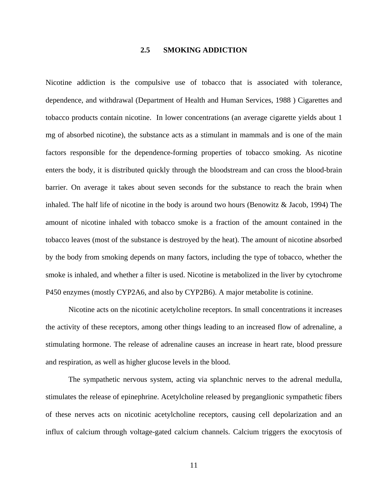## **2.5 SMOKING ADDICTION**

<span id="page-21-0"></span>Nicotine addiction is the compulsive use of tobacco that is associated with tolerance, dependence, and withdrawal (Department of Health and Human Services, 1988 ) Cigarettes and tobacco products contain nicotine. In lower concentrations (an average cigarette yields about 1 mg of absorbed nicotine), the substance acts as a [stimulant](http://en.wikipedia.org/wiki/Stimulant) in [mammals](http://en.wikipedia.org/wiki/Mammal) and is one of the main factors responsible for the dependence-forming properties of [tobacco smoking.](http://en.wikipedia.org/wiki/Tobacco_smoking) As nicotine enters the body, it is distributed quickly through the [bloodstream](http://en.wikipedia.org/wiki/Blood) and can cross the [blood-brain](http://en.wikipedia.org/wiki/Blood-brain_barrier)  [barrier.](http://en.wikipedia.org/wiki/Blood-brain_barrier) On average it takes about seven seconds for the substance to reach the [brain](http://en.wikipedia.org/wiki/Brain) when inhaled. The half life of nicotine in the body is around two hours (Benowitz & Jacob, 1994) The amount of nicotine inhaled with tobacco smoke is a fraction of the amount contained in the tobacco leaves (most of the substance is destroyed by the heat). The amount of nicotine absorbed by the body from smoking depends on many factors, including the type of tobacco, whether the smoke is inhaled, and whether a filter is used. Nicotine is metabolized in the liver by [cytochrome](http://en.wikipedia.org/wiki/Cytochrome_P450)  [P450](http://en.wikipedia.org/wiki/Cytochrome_P450) enzymes (mostly [CYP2A6](http://en.wikipedia.org/wiki/CYP2A6), and also by [CYP2B6](http://en.wikipedia.org/w/index.php?title=CYP2B6&action=edit)). A major metabolite is [cotinine](http://en.wikipedia.org/wiki/Cotinine).

Nicotine acts on the [nicotinic acetylcholine receptors](http://en.wikipedia.org/wiki/Nicotinic_acetylcholine_receptor). In small concentrations it increases the activity of these receptors, among other things leading to an increased flow of [adrenaline,](http://en.wikipedia.org/wiki/Adrenaline) a stimulating [hormone.](http://en.wikipedia.org/wiki/Hormone) The release of adrenaline causes an increase in heart rate, blood pressure and respiration, as well as higher [glucose](http://en.wikipedia.org/wiki/Glucose) levels in the blood.

The sympathetic nervous system, acting via splanchnic nerves to the adrenal medulla, stimulates the release of epinephrine. Acetylcholine released by preganglionic sympathetic fibers of these nerves acts on nicotinic acetylcholine receptors, causing cell depolarization and an influx of calcium through voltage-gated calcium channels. Calcium triggers the exocytosis of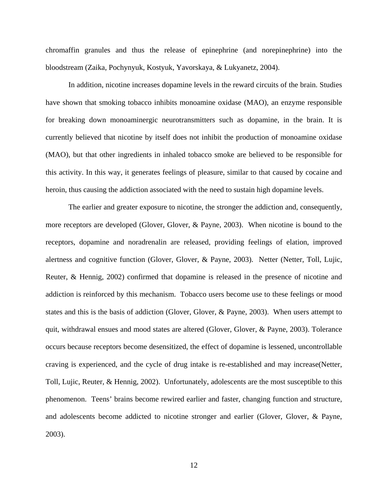chromaffin granules and thus the release of epinephrine (and norepinephrine) into the bloodstream (Zaika, Pochynyuk, Kostyuk, Yavorskaya, & Lukyanetz, 2004).

In addition, nicotine increases [dopamine](http://en.wikipedia.org/wiki/Dopamine) levels in the reward circuits of the [brain.](http://en.wikipedia.org/wiki/Brain) Studies have shown that smoking tobacco inhibits [monoamine oxidase](http://en.wikipedia.org/wiki/Monoamine_oxidase) (MAO), an [enzyme](http://en.wikipedia.org/wiki/Enzyme) responsible for breaking down [monoaminergic neurotransmitters](http://en.wikipedia.org/wiki/Monoamine) such as dopamine, in the brain. It is currently believed that nicotine by itself does not inhibit the production of [monoamine oxidase](http://en.wikipedia.org/wiki/Monoamine_oxidase) (MAO), but that other ingredients in inhaled tobacco smoke are believed to be responsible for this activity. In this way, it generates feelings of pleasure, similar to that caused by [cocaine](http://en.wikipedia.org/wiki/Cocaine) and [heroin,](http://en.wikipedia.org/wiki/Heroin) thus causing the addiction associated with the need to sustain high dopamine levels.

The earlier and greater exposure to nicotine, the stronger the addiction and, consequently, more receptors are developed (Glover, Glover, & Payne, 2003). When nicotine is bound to the receptors, dopamine and noradrenalin are released, providing feelings of elation, improved alertness and cognitive function (Glover, Glover, & Payne, 2003). Netter (Netter, Toll, Lujic, Reuter, & Hennig, 2002) confirmed that dopamine is released in the presence of nicotine and addiction is reinforced by this mechanism. Tobacco users become use to these feelings or mood states and this is the basis of addiction (Glover, Glover, & Payne, 2003). When users attempt to quit, withdrawal ensues and mood states are altered (Glover, Glover, & Payne, 2003). Tolerance occurs because receptors become desensitized, the effect of dopamine is lessened, uncontrollable craving is experienced, and the cycle of drug intake is re-established and may increase(Netter, Toll, Lujic, Reuter, & Hennig, 2002). Unfortunately, adolescents are the most susceptible to this phenomenon. Teens' brains become rewired earlier and faster, changing function and structure, and adolescents become addicted to nicotine stronger and earlier (Glover, Glover, & Payne, 2003).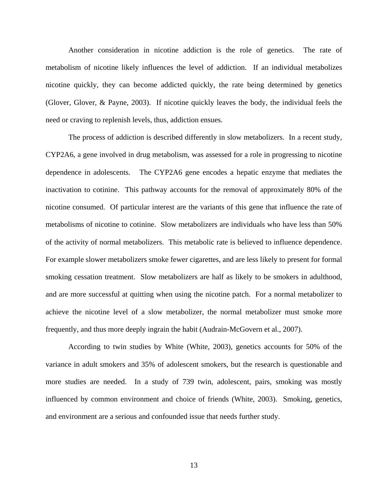Another consideration in nicotine addiction is the role of genetics. The rate of metabolism of nicotine likely influences the level of addiction. If an individual metabolizes nicotine quickly, they can become addicted quickly, the rate being determined by genetics (Glover, Glover, & Payne, 2003). If nicotine quickly leaves the body, the individual feels the need or craving to replenish levels, thus, addiction ensues.

The process of addiction is described differently in slow metabolizers. In a recent study, CYP2A6, a gene involved in drug metabolism, was assessed for a role in progressing to nicotine dependence in adolescents. The CYP2A6 gene encodes a hepatic enzyme that mediates the inactivation to cotinine. This pathway accounts for the removal of approximately 80% of the nicotine consumed. Of particular interest are the variants of this gene that influence the rate of metabolisms of nicotine to cotinine. Slow metabolizers are individuals who have less than 50% of the activity of normal metabolizers. This metabolic rate is believed to influence dependence. For example slower metabolizers smoke fewer cigarettes, and are less likely to present for formal smoking cessation treatment. Slow metabolizers are half as likely to be smokers in adulthood, and are more successful at quitting when using the nicotine patch. For a normal metabolizer to achieve the nicotine level of a slow metabolizer, the normal metabolizer must smoke more frequently, and thus more deeply ingrain the habit (Audrain-McGovern et al., 2007).

According to twin studies by White (White, 2003), genetics accounts for 50% of the variance in adult smokers and 35% of adolescent smokers, but the research is questionable and more studies are needed. In a study of 739 twin, adolescent, pairs, smoking was mostly influenced by common environment and choice of friends (White, 2003). Smoking, genetics, and environment are a serious and confounded issue that needs further study.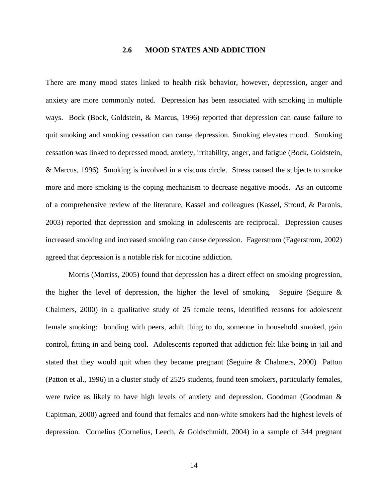## **2.6 MOOD STATES AND ADDICTION**

<span id="page-24-0"></span>There are many mood states linked to health risk behavior, however, depression, anger and anxiety are more commonly noted. Depression has been associated with smoking in multiple ways. Bock (Bock, Goldstein, & Marcus, 1996) reported that depression can cause failure to quit smoking and smoking cessation can cause depression. Smoking elevates mood. Smoking cessation was linked to depressed mood, anxiety, irritability, anger, and fatigue (Bock, Goldstein, & Marcus, 1996) Smoking is involved in a viscous circle. Stress caused the subjects to smoke more and more smoking is the coping mechanism to decrease negative moods. As an outcome of a comprehensive review of the literature, Kassel and colleagues (Kassel, Stroud, & Paronis, 2003) reported that depression and smoking in adolescents are reciprocal. Depression causes increased smoking and increased smoking can cause depression. Fagerstrom (Fagerstrom, 2002) agreed that depression is a notable risk for nicotine addiction.

Morris (Morriss, 2005) found that depression has a direct effect on smoking progression, the higher the level of depression, the higher the level of smoking. Seguire (Seguire  $\&$ Chalmers, 2000) in a qualitative study of 25 female teens, identified reasons for adolescent female smoking: bonding with peers, adult thing to do, someone in household smoked, gain control, fitting in and being cool. Adolescents reported that addiction felt like being in jail and stated that they would quit when they became pregnant (Seguire & Chalmers, 2000) Patton (Patton et al., 1996) in a cluster study of 2525 students, found teen smokers, particularly females, were twice as likely to have high levels of anxiety and depression. Goodman (Goodman & Capitman, 2000) agreed and found that females and non-white smokers had the highest levels of depression. Cornelius (Cornelius, Leech, & Goldschmidt, 2004) in a sample of 344 pregnant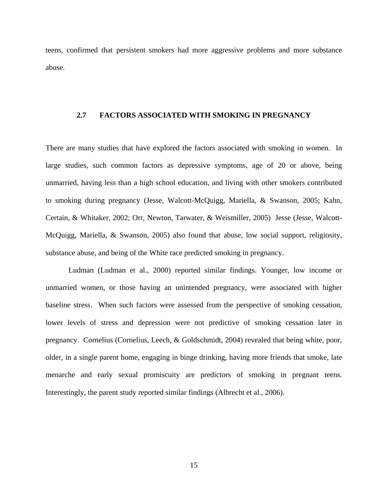<span id="page-25-0"></span>teens, confirmed that persistent smokers had more aggressive problems and more substance abuse.

## **2.7 FACTORS ASSOCIATED WITH SMOKING IN PREGNANCY**

There are many studies that have explored the factors associated with smoking in women. In large studies, such common factors as depressive symptoms, age of 20 or above, being unmarried, having less than a high school education, and living with other smokers contributed to smoking during pregnancy (Jesse, Walcott-McQuigg, Mariella, & Swanson, 2005; Kahn, Certain, & Whitaker, 2002; Orr, Newton, Tarwater, & Weismiller, 2005) Jesse (Jesse, Walcott-McQuigg, Mariella, & Swanson, 2005) also found that abuse, low social support, religiosity, substance abuse, and being of the White race predicted smoking in pregnancy.

Ludman (Ludman et al., 2000) reported similar findings. Younger, low income or unmarried women, or those having an unintended pregnancy, were associated with higher baseline stress. When such factors were assessed from the perspective of smoking cessation, lower levels of stress and depression were not predictive of smoking cessation later in pregnancy. Cornelius (Cornelius, Leech, & Goldschmidt, 2004) revealed that being white, poor, older, in a single parent home, engaging in binge drinking, having more friends that smoke, late menarche and early sexual promiscuity are predictors of smoking in pregnant teens. Interestingly, the parent study reported similar findings (Albrecht et al., 2006).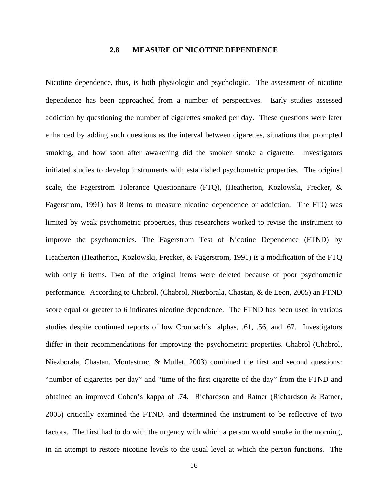### **2.8 MEASURE OF NICOTINE DEPENDENCE**

<span id="page-26-0"></span>Nicotine dependence, thus, is both physiologic and psychologic. The assessment of nicotine dependence has been approached from a number of perspectives. Early studies assessed addiction by questioning the number of cigarettes smoked per day. These questions were later enhanced by adding such questions as the interval between cigarettes, situations that prompted smoking, and how soon after awakening did the smoker smoke a cigarette. Investigators initiated studies to develop instruments with established psychometric properties. The original scale, the Fagerstrom Tolerance Questionnaire (FTQ), (Heatherton, Kozlowski, Frecker, & Fagerstrom, 1991) has 8 items to measure nicotine dependence or addiction. The FTQ was limited by weak psychometric properties, thus researchers worked to revise the instrument to improve the psychometrics. The Fagerstrom Test of Nicotine Dependence (FTND) by Heatherton (Heatherton, Kozlowski, Frecker, & Fagerstrom, 1991) is a modification of the FTQ with only 6 items. Two of the original items were deleted because of poor psychometric performance. According to Chabrol, (Chabrol, Niezborala, Chastan, & de Leon, 2005) an FTND score equal or greater to 6 indicates nicotine dependence. The FTND has been used in various studies despite continued reports of low Cronbach's alphas, .61, .56, and .67. Investigators differ in their recommendations for improving the psychometric properties. Chabrol (Chabrol, Niezborala, Chastan, Montastruc, & Mullet, 2003) combined the first and second questions: "number of cigarettes per day" and "time of the first cigarette of the day" from the FTND and obtained an improved Cohen's kappa of .74. Richardson and Ratner (Richardson & Ratner, 2005) critically examined the FTND, and determined the instrument to be reflective of two factors. The first had to do with the urgency with which a person would smoke in the morning, in an attempt to restore nicotine levels to the usual level at which the person functions. The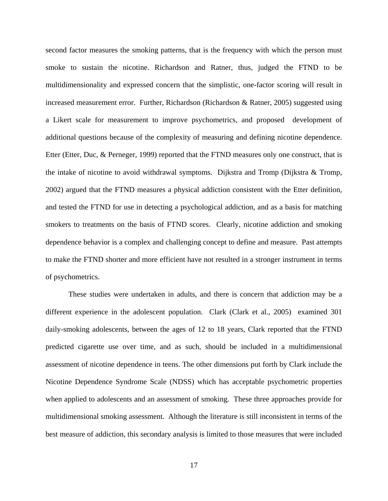second factor measures the smoking patterns, that is the frequency with which the person must smoke to sustain the nicotine. Richardson and Ratner, thus, judged the FTND to be multidimensionality and expressed concern that the simplistic, one-factor scoring will result in increased measurement error. Further, Richardson (Richardson & Ratner, 2005) suggested using a Likert scale for measurement to improve psychometrics, and proposed development of additional questions because of the complexity of measuring and defining nicotine dependence. Etter (Etter, Duc, & Perneger, 1999) reported that the FTND measures only one construct, that is the intake of nicotine to avoid withdrawal symptoms. Dijkstra and Tromp (Dijkstra & Tromp, 2002) argued that the FTND measures a physical addiction consistent with the Etter definition, and tested the FTND for use in detecting a psychological addiction, and as a basis for matching smokers to treatments on the basis of FTND scores. Clearly, nicotine addiction and smoking dependence behavior is a complex and challenging concept to define and measure. Past attempts to make the FTND shorter and more efficient have not resulted in a stronger instrument in terms of psychometrics.

These studies were undertaken in adults, and there is concern that addiction may be a different experience in the adolescent population. Clark (Clark et al., 2005) examined 301 daily-smoking adolescents, between the ages of 12 to 18 years, Clark reported that the FTND predicted cigarette use over time, and as such, should be included in a multidimensional assessment of nicotine dependence in teens. The other dimensions put forth by Clark include the Nicotine Dependence Syndrome Scale (NDSS) which has acceptable psychometric properties when applied to adolescents and an assessment of smoking. These three approaches provide for multidimensional smoking assessment. Although the literature is still inconsistent in terms of the best measure of addiction, this secondary analysis is limited to those measures that were included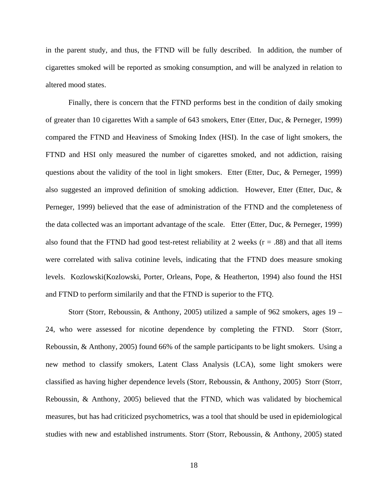in the parent study, and thus, the FTND will be fully described. In addition, the number of cigarettes smoked will be reported as smoking consumption, and will be analyzed in relation to altered mood states.

Finally, there is concern that the FTND performs best in the condition of daily smoking of greater than 10 cigarettes With a sample of 643 smokers, Etter (Etter, Duc, & Perneger, 1999) compared the FTND and Heaviness of Smoking Index (HSI). In the case of light smokers, the FTND and HSI only measured the number of cigarettes smoked, and not addiction, raising questions about the validity of the tool in light smokers. Etter (Etter, Duc, & Perneger, 1999) also suggested an improved definition of smoking addiction. However, Etter (Etter, Duc, & Perneger, 1999) believed that the ease of administration of the FTND and the completeness of the data collected was an important advantage of the scale. Etter (Etter, Duc, & Perneger, 1999) also found that the FTND had good test-retest reliability at 2 weeks  $(r = .88)$  and that all items were correlated with saliva cotinine levels, indicating that the FTND does measure smoking levels. Kozlowski(Kozlowski, Porter, Orleans, Pope, & Heatherton, 1994) also found the HSI and FTND to perform similarily and that the FTND is superior to the FTQ.

Storr (Storr, Reboussin, & Anthony, 2005) utilized a sample of 962 smokers, ages 19 – 24, who were assessed for nicotine dependence by completing the FTND. Storr (Storr, Reboussin, & Anthony, 2005) found 66% of the sample participants to be light smokers. Using a new method to classify smokers, Latent Class Analysis (LCA), some light smokers were classified as having higher dependence levels (Storr, Reboussin, & Anthony, 2005) Storr (Storr, Reboussin, & Anthony, 2005) believed that the FTND, which was validated by biochemical measures, but has had criticized psychometrics, was a tool that should be used in epidemiological studies with new and established instruments. Storr (Storr, Reboussin, & Anthony, 2005) stated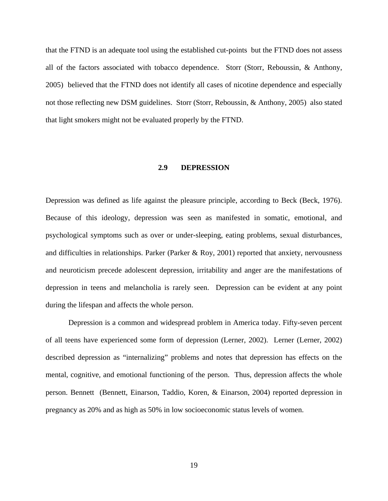<span id="page-29-0"></span>that the FTND is an adequate tool using the established cut-points but the FTND does not assess all of the factors associated with tobacco dependence. Storr (Storr, Reboussin, & Anthony, 2005) believed that the FTND does not identify all cases of nicotine dependence and especially not those reflecting new DSM guidelines. Storr (Storr, Reboussin, & Anthony, 2005) also stated that light smokers might not be evaluated properly by the FTND.

## **2.9 DEPRESSION**

Depression was defined as life against the pleasure principle, according to Beck (Beck, 1976). Because of this ideology, depression was seen as manifested in somatic, emotional, and psychological symptoms such as over or under-sleeping, eating problems, sexual disturbances, and difficulties in relationships. Parker (Parker & Roy, 2001) reported that anxiety, nervousness and neuroticism precede adolescent depression, irritability and anger are the manifestations of depression in teens and melancholia is rarely seen. Depression can be evident at any point during the lifespan and affects the whole person.

Depression is a common and widespread problem in America today. Fifty-seven percent of all teens have experienced some form of depression (Lerner, 2002). Lerner (Lerner, 2002) described depression as "internalizing" problems and notes that depression has effects on the mental, cognitive, and emotional functioning of the person. Thus, depression affects the whole person. Bennett (Bennett, Einarson, Taddio, Koren, & Einarson, 2004) reported depression in pregnancy as 20% and as high as 50% in low socioeconomic status levels of women.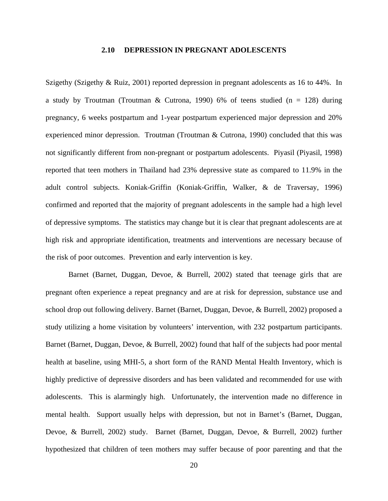#### **2.10 DEPRESSION IN PREGNANT ADOLESCENTS**

<span id="page-30-0"></span>Szigethy (Szigethy & Ruiz, 2001) reported depression in pregnant adolescents as 16 to 44%. In a study by Troutman (Troutman & Cutrona, 1990) 6% of teens studied ( $n = 128$ ) during pregnancy, 6 weeks postpartum and 1-year postpartum experienced major depression and 20% experienced minor depression. Troutman (Troutman & Cutrona, 1990) concluded that this was not significantly different from non-pregnant or postpartum adolescents. Piyasil (Piyasil, 1998) reported that teen mothers in Thailand had 23% depressive state as compared to 11.9% in the adult control subjects. Koniak-Griffin (Koniak-Griffin, Walker, & de Traversay, 1996) confirmed and reported that the majority of pregnant adolescents in the sample had a high level of depressive symptoms. The statistics may change but it is clear that pregnant adolescents are at high risk and appropriate identification, treatments and interventions are necessary because of the risk of poor outcomes. Prevention and early intervention is key.

Barnet (Barnet, Duggan, Devoe, & Burrell, 2002) stated that teenage girls that are pregnant often experience a repeat pregnancy and are at risk for depression, substance use and school drop out following delivery. Barnet (Barnet, Duggan, Devoe, & Burrell, 2002) proposed a study utilizing a home visitation by volunteers' intervention, with 232 postpartum participants. Barnet (Barnet, Duggan, Devoe, & Burrell, 2002) found that half of the subjects had poor mental health at baseline, using MHI-5, a short form of the RAND Mental Health Inventory, which is highly predictive of depressive disorders and has been validated and recommended for use with adolescents. This is alarmingly high. Unfortunately, the intervention made no difference in mental health. Support usually helps with depression, but not in Barnet's (Barnet, Duggan, Devoe, & Burrell, 2002) study. Barnet (Barnet, Duggan, Devoe, & Burrell, 2002) further hypothesized that children of teen mothers may suffer because of poor parenting and that the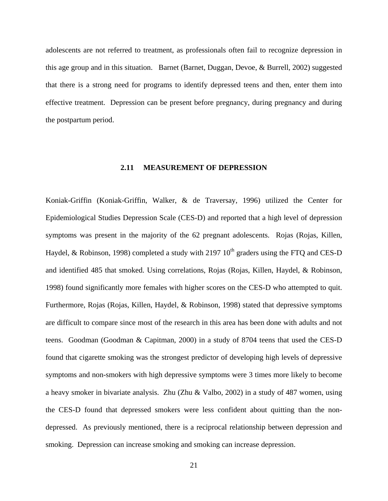<span id="page-31-0"></span>adolescents are not referred to treatment, as professionals often fail to recognize depression in this age group and in this situation. Barnet (Barnet, Duggan, Devoe, & Burrell, 2002) suggested that there is a strong need for programs to identify depressed teens and then, enter them into effective treatment. Depression can be present before pregnancy, during pregnancy and during the postpartum period.

## **2.11 MEASUREMENT OF DEPRESSION**

Koniak-Griffin (Koniak-Griffin, Walker, & de Traversay, 1996) utilized the Center for Epidemiological Studies Depression Scale (CES-D) and reported that a high level of depression symptoms was present in the majority of the 62 pregnant adolescents. Rojas (Rojas, Killen, Haydel, & Robinson, 1998) completed a study with 2197  $10<sup>th</sup>$  graders using the FTQ and CES-D and identified 485 that smoked. Using correlations, Rojas (Rojas, Killen, Haydel, & Robinson, 1998) found significantly more females with higher scores on the CES-D who attempted to quit. Furthermore, Rojas (Rojas, Killen, Haydel, & Robinson, 1998) stated that depressive symptoms are difficult to compare since most of the research in this area has been done with adults and not teens. Goodman (Goodman & Capitman, 2000) in a study of 8704 teens that used the CES-D found that cigarette smoking was the strongest predictor of developing high levels of depressive symptoms and non-smokers with high depressive symptoms were 3 times more likely to become a heavy smoker in bivariate analysis. Zhu (Zhu & Valbo, 2002) in a study of 487 women, using the CES-D found that depressed smokers were less confident about quitting than the nondepressed. As previously mentioned, there is a reciprocal relationship between depression and smoking. Depression can increase smoking and smoking can increase depression.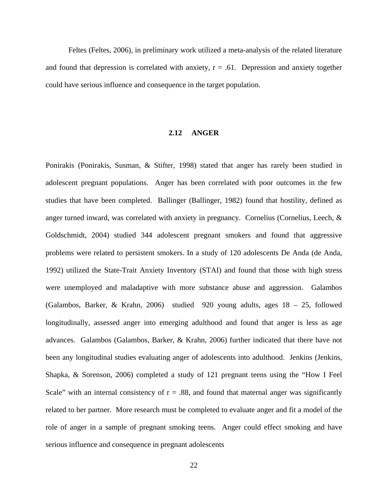<span id="page-32-0"></span>Feltes (Feltes, 2006), in preliminary work utilized a meta-analysis of the related literature and found that depression is correlated with anxiety,  $r = .61$ . Depression and anxiety together could have serious influence and consequence in the target population.

## **2.12 ANGER**

Ponirakis (Ponirakis, Susman, & Stifter, 1998) stated that anger has rarely been studied in adolescent pregnant populations. Anger has been correlated with poor outcomes in the few studies that have been completed. Ballinger (Ballinger, 1982) found that hostility, defined as anger turned inward, was correlated with anxiety in pregnancy. Cornelius (Cornelius, Leech, & Goldschmidt, 2004) studied 344 adolescent pregnant smokers and found that aggressive problems were related to persistent smokers. In a study of 120 adolescents De Anda (de Anda, 1992) utilized the State-Trait Anxiety Inventory (STAI) and found that those with high stress were unemployed and maladaptive with more substance abuse and aggression. Galambos (Galambos, Barker, & Krahn, 2006) studied 920 young adults, ages 18 – 25, followed longitudinally, assessed anger into emerging adulthood and found that anger is less as age advances. Galambos (Galambos, Barker, & Krahn, 2006) further indicated that there have not been any longitudinal studies evaluating anger of adolescents into adulthood. Jenkins (Jenkins, Shapka, & Sorenson, 2006) completed a study of 121 pregnant teens using the "How I Feel Scale" with an internal consistency of  $r = .88$ , and found that maternal anger was significantly related to her partner. More research must be completed to evaluate anger and fit a model of the role of anger in a sample of pregnant smoking teens. Anger could effect smoking and have serious influence and consequence in pregnant adolescents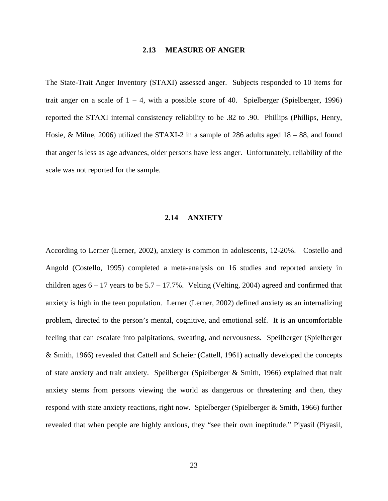#### **2.13 MEASURE OF ANGER**

<span id="page-33-0"></span>The State-Trait Anger Inventory (STAXI) assessed anger. Subjects responded to 10 items for trait anger on a scale of  $1 - 4$ , with a possible score of 40. Spielberger (Spielberger, 1996) reported the STAXI internal consistency reliability to be .82 to .90. Phillips (Phillips, Henry, Hosie, & Milne, 2006) utilized the STAXI-2 in a sample of 286 adults aged 18 – 88, and found that anger is less as age advances, older persons have less anger. Unfortunately, reliability of the scale was not reported for the sample.

### **2.14 ANXIETY**

According to Lerner (Lerner, 2002), anxiety is common in adolescents, 12-20%. Costello and Angold (Costello, 1995) completed a meta-analysis on 16 studies and reported anxiety in children ages  $6 - 17$  years to be  $5.7 - 17.7\%$ . Velting (Velting, 2004) agreed and confirmed that anxiety is high in the teen population. Lerner (Lerner, 2002) defined anxiety as an internalizing problem, directed to the person's mental, cognitive, and emotional self. It is an uncomfortable feeling that can escalate into palpitations, sweating, and nervousness. Speilberger (Spielberger & Smith, 1966) revealed that Cattell and Scheier (Cattell, 1961) actually developed the concepts of state anxiety and trait anxiety. Speilberger (Spielberger & Smith, 1966) explained that trait anxiety stems from persons viewing the world as dangerous or threatening and then, they respond with state anxiety reactions, right now. Spielberger (Spielberger & Smith, 1966) further revealed that when people are highly anxious, they "see their own ineptitude." Piyasil (Piyasil,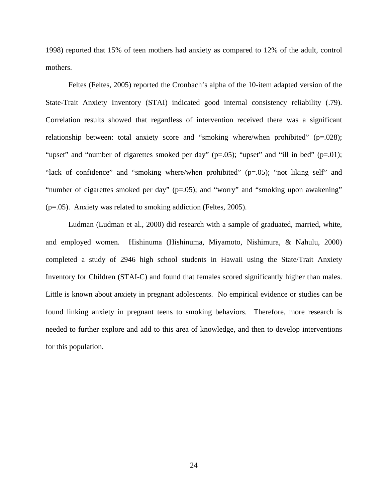1998) reported that 15% of teen mothers had anxiety as compared to 12% of the adult, control mothers.

Feltes (Feltes, 2005) reported the Cronbach's alpha of the 10-item adapted version of the State-Trait Anxiety Inventory (STAI) indicated good internal consistency reliability (.79). Correlation results showed that regardless of intervention received there was a significant relationship between: total anxiety score and "smoking where/when prohibited" (p=.028); "upset" and "number of cigarettes smoked per day" ( $p=.05$ ); "upset" and "ill in bed" ( $p=.01$ ); "lack of confidence" and "smoking where/when prohibited" (p=.05); "not liking self" and "number of cigarettes smoked per day" (p=.05); and "worry" and "smoking upon awakening" (p=.05). Anxiety was related to smoking addiction (Feltes, 2005).

Ludman (Ludman et al., 2000) did research with a sample of graduated, married, white, and employed women. Hishinuma (Hishinuma, Miyamoto, Nishimura, & Nahulu, 2000) completed a study of 2946 high school students in Hawaii using the State/Trait Anxiety Inventory for Children (STAI-C) and found that females scored significantly higher than males. Little is known about anxiety in pregnant adolescents. No empirical evidence or studies can be found linking anxiety in pregnant teens to smoking behaviors. Therefore, more research is needed to further explore and add to this area of knowledge, and then to develop interventions for this population.

24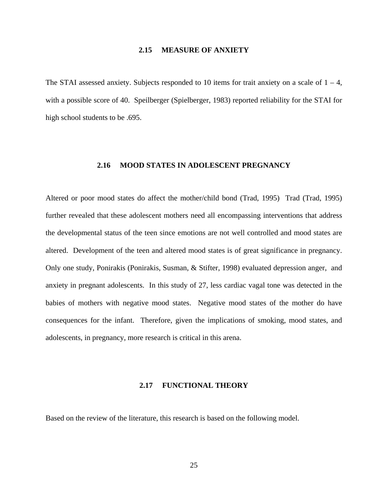#### **2.15 MEASURE OF ANXIETY**

<span id="page-35-0"></span>The STAI assessed anxiety. Subjects responded to 10 items for trait anxiety on a scale of  $1 - 4$ , with a possible score of 40. Speilberger (Spielberger, 1983) reported reliability for the STAI for high school students to be .695.

## **2.16 MOOD STATES IN ADOLESCENT PREGNANCY**

Altered or poor mood states do affect the mother/child bond (Trad, 1995) Trad (Trad, 1995) further revealed that these adolescent mothers need all encompassing interventions that address the developmental status of the teen since emotions are not well controlled and mood states are altered. Development of the teen and altered mood states is of great significance in pregnancy. Only one study, Ponirakis (Ponirakis, Susman, & Stifter, 1998) evaluated depression anger, and anxiety in pregnant adolescents. In this study of 27, less cardiac vagal tone was detected in the babies of mothers with negative mood states. Negative mood states of the mother do have consequences for the infant. Therefore, given the implications of smoking, mood states, and adolescents, in pregnancy, more research is critical in this arena.

#### **2.17 FUNCTIONAL THEORY**

Based on the review of the literature, this research is based on the following model.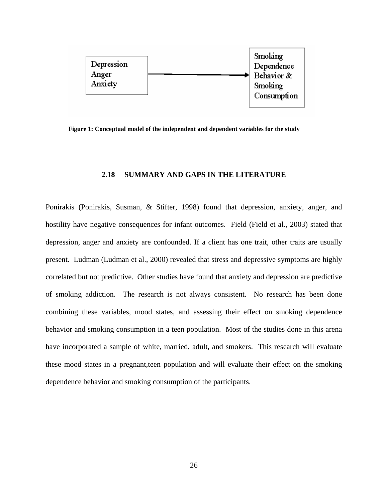

**Figure 1: Conceptual model of the independent and dependent variables for the study** 

### **2.18 SUMMARY AND GAPS IN THE LITERATURE**

Ponirakis (Ponirakis, Susman, & Stifter, 1998) found that depression, anxiety, anger, and hostility have negative consequences for infant outcomes. Field (Field et al., 2003) stated that depression, anger and anxiety are confounded. If a client has one trait, other traits are usually present. Ludman (Ludman et al., 2000) revealed that stress and depressive symptoms are highly correlated but not predictive. Other studies have found that anxiety and depression are predictive of smoking addiction. The research is not always consistent. No research has been done combining these variables, mood states, and assessing their effect on smoking dependence behavior and smoking consumption in a teen population. Most of the studies done in this arena have incorporated a sample of white, married, adult, and smokers. This research will evaluate these mood states in a pregnant,teen population and will evaluate their effect on the smoking dependence behavior and smoking consumption of the participants.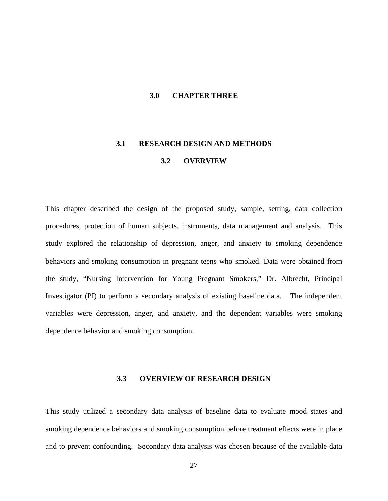### **3.0 CHAPTER THREE**

# **3.1 RESEARCH DESIGN AND METHODS**

# **3.2 OVERVIEW**

This chapter described the design of the proposed study, sample, setting, data collection procedures, protection of human subjects, instruments, data management and analysis. This study explored the relationship of depression, anger, and anxiety to smoking dependence behaviors and smoking consumption in pregnant teens who smoked. Data were obtained from the study, "Nursing Intervention for Young Pregnant Smokers," Dr. Albrecht, Principal Investigator (PI) to perform a secondary analysis of existing baseline data. The independent variables were depression, anger, and anxiety, and the dependent variables were smoking dependence behavior and smoking consumption.

### **3.3 OVERVIEW OF RESEARCH DESIGN**

This study utilized a secondary data analysis of baseline data to evaluate mood states and smoking dependence behaviors and smoking consumption before treatment effects were in place and to prevent confounding. Secondary data analysis was chosen because of the available data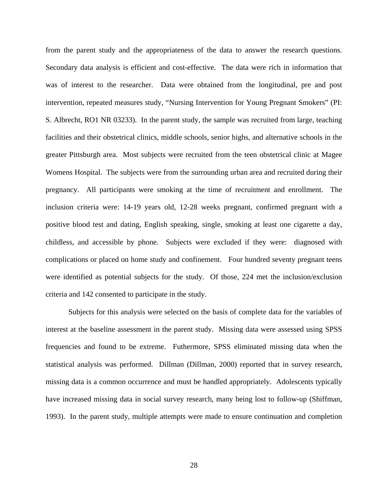from the parent study and the appropriateness of the data to answer the research questions. Secondary data analysis is efficient and cost-effective. The data were rich in information that was of interest to the researcher. Data were obtained from the longitudinal, pre and post intervention, repeated measures study, "Nursing Intervention for Young Pregnant Smokers" (PI: S. Albrecht, RO1 NR 03233). In the parent study, the sample was recruited from large, teaching facilities and their obstetrical clinics, middle schools, senior highs, and alternative schools in the greater Pittsburgh area. Most subjects were recruited from the teen obstetrical clinic at Magee Womens Hospital. The subjects were from the surrounding urban area and recruited during their pregnancy. All participants were smoking at the time of recruitment and enrollment. The inclusion criteria were: 14-19 years old, 12-28 weeks pregnant, confirmed pregnant with a positive blood test and dating, English speaking, single, smoking at least one cigarette a day, childless, and accessible by phone. Subjects were excluded if they were: diagnosed with complications or placed on home study and confinement. Four hundred seventy pregnant teens were identified as potential subjects for the study. Of those, 224 met the inclusion/exclusion criteria and 142 consented to participate in the study.

Subjects for this analysis were selected on the basis of complete data for the variables of interest at the baseline assessment in the parent study. Missing data were assessed using SPSS frequencies and found to be extreme. Futhermore, SPSS eliminated missing data when the statistical analysis was performed. Dillman (Dillman, 2000) reported that in survey research, missing data is a common occurrence and must be handled appropriately. Adolescents typically have increased missing data in social survey research, many being lost to follow-up (Shiffman, 1993). In the parent study, multiple attempts were made to ensure continuation and completion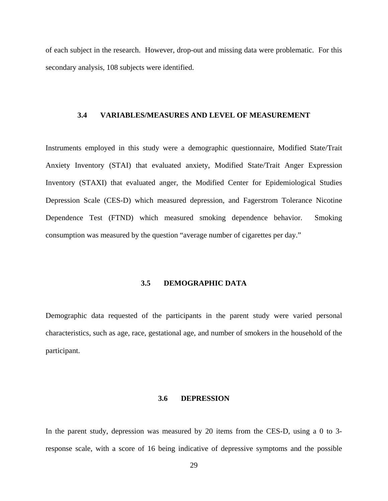of each subject in the research. However, drop-out and missing data were problematic. For this secondary analysis, 108 subjects were identified.

## **3.4 VARIABLES/MEASURES AND LEVEL OF MEASUREMENT**

Instruments employed in this study were a demographic questionnaire, Modified State/Trait Anxiety Inventory (STAI) that evaluated anxiety, Modified State/Trait Anger Expression Inventory (STAXI) that evaluated anger, the Modified Center for Epidemiological Studies Depression Scale (CES-D) which measured depression, and Fagerstrom Tolerance Nicotine Dependence Test (FTND) which measured smoking dependence behavior. Smoking consumption was measured by the question "average number of cigarettes per day."

# **3.5 DEMOGRAPHIC DATA**

Demographic data requested of the participants in the parent study were varied personal characteristics, such as age, race, gestational age, and number of smokers in the household of the participant.

#### **3.6 DEPRESSION**

In the parent study, depression was measured by 20 items from the CES-D, using a 0 to 3 response scale, with a score of 16 being indicative of depressive symptoms and the possible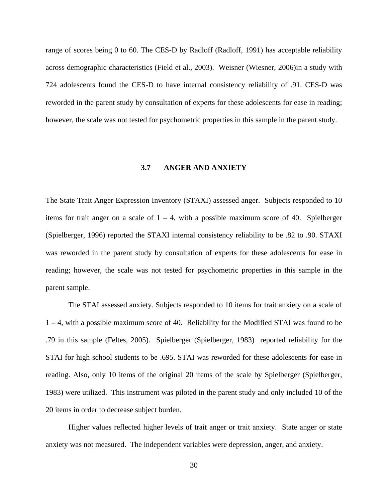range of scores being 0 to 60. The CES-D by Radloff (Radloff, 1991) has acceptable reliability across demographic characteristics (Field et al., 2003). Weisner (Wiesner, 2006)in a study with 724 adolescents found the CES-D to have internal consistency reliability of .91. CES-D was reworded in the parent study by consultation of experts for these adolescents for ease in reading; however, the scale was not tested for psychometric properties in this sample in the parent study.

# **3.7 ANGER AND ANXIETY**

The State Trait Anger Expression Inventory (STAXI) assessed anger. Subjects responded to 10 items for trait anger on a scale of  $1 - 4$ , with a possible maximum score of 40. Spielberger (Spielberger, 1996) reported the STAXI internal consistency reliability to be .82 to .90. STAXI was reworded in the parent study by consultation of experts for these adolescents for ease in reading; however, the scale was not tested for psychometric properties in this sample in the parent sample.

The STAI assessed anxiety. Subjects responded to 10 items for trait anxiety on a scale of  $1 - 4$ , with a possible maximum score of 40. Reliability for the Modified STAI was found to be .79 in this sample (Feltes, 2005). Spielberger (Spielberger, 1983) reported reliability for the STAI for high school students to be .695. STAI was reworded for these adolescents for ease in reading. Also, only 10 items of the original 20 items of the scale by Spielberger (Spielberger, 1983) were utilized. This instrument was piloted in the parent study and only included 10 of the 20 items in order to decrease subject burden.

Higher values reflected higher levels of trait anger or trait anxiety. State anger or state anxiety was not measured. The independent variables were depression, anger, and anxiety.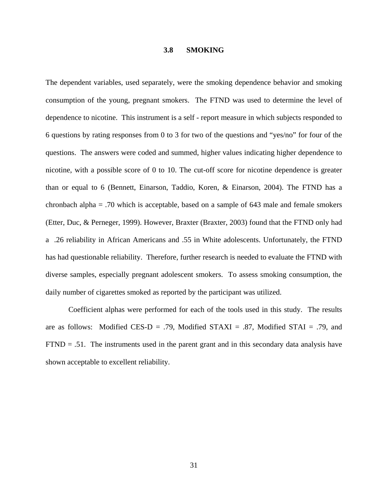#### **3.8 SMOKING**

The dependent variables, used separately, were the smoking dependence behavior and smoking consumption of the young, pregnant smokers. The FTND was used to determine the level of dependence to nicotine. This instrument is a self - report measure in which subjects responded to 6 questions by rating responses from 0 to 3 for two of the questions and "yes/no" for four of the questions. The answers were coded and summed, higher values indicating higher dependence to nicotine, with a possible score of 0 to 10. The cut-off score for nicotine dependence is greater than or equal to 6 (Bennett, Einarson, Taddio, Koren, & Einarson, 2004). The FTND has a chronbach alpha = .70 which is acceptable, based on a sample of 643 male and female smokers (Etter, Duc, & Perneger, 1999). However, Braxter (Braxter, 2003) found that the FTND only had a .26 reliability in African Americans and .55 in White adolescents. Unfortunately, the FTND has had questionable reliability. Therefore, further research is needed to evaluate the FTND with diverse samples, especially pregnant adolescent smokers. To assess smoking consumption, the daily number of cigarettes smoked as reported by the participant was utilized.

Coefficient alphas were performed for each of the tools used in this study. The results are as follows: Modified CES-D = .79, Modified STAXI = .87, Modified STAI = .79, and  $FTND = .51$ . The instruments used in the parent grant and in this secondary data analysis have shown acceptable to excellent reliability.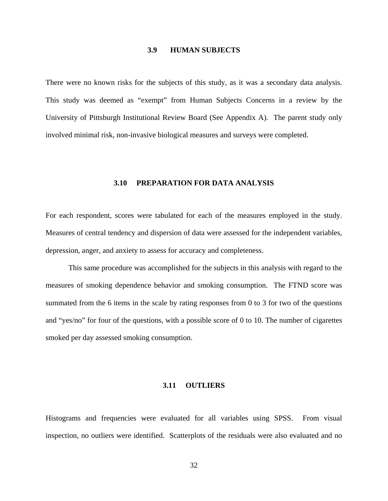#### **3.9 HUMAN SUBJECTS**

There were no known risks for the subjects of this study, as it was a secondary data analysis. This study was deemed as "exempt" from Human Subjects Concerns in a review by the University of Pittsburgh Institutional Review Board (See Appendix A). The parent study only involved minimal risk, non-invasive biological measures and surveys were completed.

#### **3.10 PREPARATION FOR DATA ANALYSIS**

For each respondent, scores were tabulated for each of the measures employed in the study. Measures of central tendency and dispersion of data were assessed for the independent variables, depression, anger, and anxiety to assess for accuracy and completeness.

This same procedure was accomplished for the subjects in this analysis with regard to the measures of smoking dependence behavior and smoking consumption. The FTND score was summated from the 6 items in the scale by rating responses from 0 to 3 for two of the questions and "yes/no" for four of the questions, with a possible score of 0 to 10. The number of cigarettes smoked per day assessed smoking consumption.

### **3.11 OUTLIERS**

Histograms and frequencies were evaluated for all variables using SPSS. From visual inspection, no outliers were identified. Scatterplots of the residuals were also evaluated and no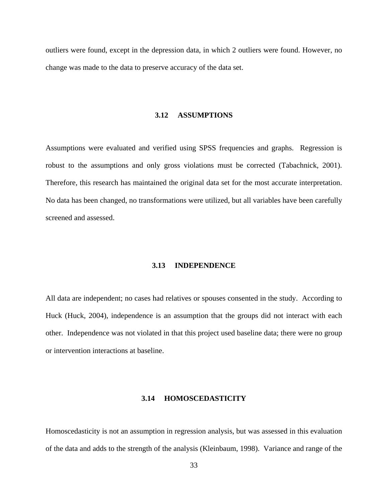outliers were found, except in the depression data, in which 2 outliers were found. However, no change was made to the data to preserve accuracy of the data set.

### **3.12 ASSUMPTIONS**

Assumptions were evaluated and verified using SPSS frequencies and graphs. Regression is robust to the assumptions and only gross violations must be corrected (Tabachnick, 2001). Therefore, this research has maintained the original data set for the most accurate interpretation. No data has been changed, no transformations were utilized, but all variables have been carefully screened and assessed.

#### **3.13 INDEPENDENCE**

All data are independent; no cases had relatives or spouses consented in the study. According to Huck (Huck, 2004), independence is an assumption that the groups did not interact with each other. Independence was not violated in that this project used baseline data; there were no group or intervention interactions at baseline.

#### **3.14 HOMOSCEDASTICITY**

Homoscedasticity is not an assumption in regression analysis, but was assessed in this evaluation of the data and adds to the strength of the analysis (Kleinbaum, 1998). Variance and range of the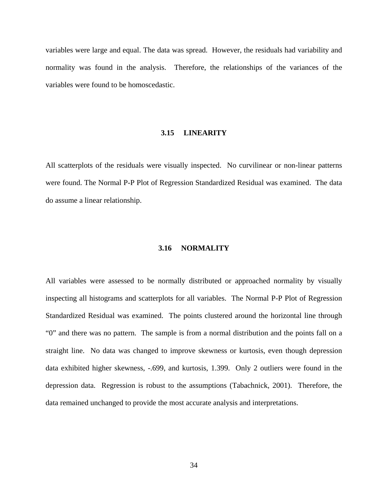variables were large and equal. The data was spread. However, the residuals had variability and normality was found in the analysis. Therefore, the relationships of the variances of the variables were found to be homoscedastic.

# **3.15 LINEARITY**

All scatterplots of the residuals were visually inspected. No curvilinear or non-linear patterns were found. The Normal P-P Plot of Regression Standardized Residual was examined. The data do assume a linear relationship.

# **3.16 NORMALITY**

All variables were assessed to be normally distributed or approached normality by visually inspecting all histograms and scatterplots for all variables. The Normal P-P Plot of Regression Standardized Residual was examined. The points clustered around the horizontal line through "0" and there was no pattern. The sample is from a normal distribution and the points fall on a straight line. No data was changed to improve skewness or kurtosis, even though depression data exhibited higher skewness, -.699, and kurtosis, 1.399. Only 2 outliers were found in the depression data. Regression is robust to the assumptions (Tabachnick, 2001). Therefore, the data remained unchanged to provide the most accurate analysis and interpretations.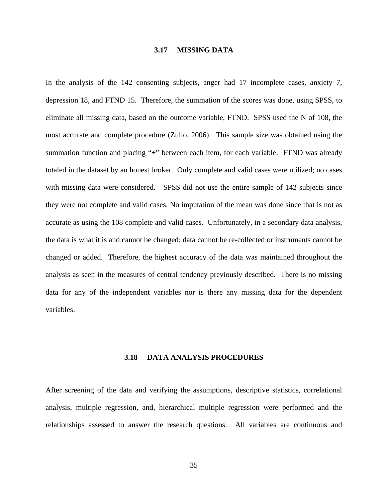### **3.17 MISSING DATA**

In the analysis of the 142 consenting subjects, anger had 17 incomplete cases, anxiety 7, depression 18, and FTND 15. Therefore, the summation of the scores was done, using SPSS, to eliminate all missing data, based on the outcome variable, FTND. SPSS used the N of 108, the most accurate and complete procedure (Zullo, 2006). This sample size was obtained using the summation function and placing "+" between each item, for each variable. FTND was already totaled in the dataset by an honest broker. Only complete and valid cases were utilized; no cases with missing data were considered. SPSS did not use the entire sample of 142 subjects since they were not complete and valid cases. No imputation of the mean was done since that is not as accurate as using the 108 complete and valid cases. Unfortunately, in a secondary data analysis, the data is what it is and cannot be changed; data cannot be re-collected or instruments cannot be changed or added. Therefore, the highest accuracy of the data was maintained throughout the analysis as seen in the measures of central tendency previously described. There is no missing data for any of the independent variables nor is there any missing data for the dependent variables.

#### **3.18 DATA ANALYSIS PROCEDURES**

After screening of the data and verifying the assumptions, descriptive statistics, correlational analysis, multiple regression, and, hierarchical multiple regression were performed and the relationships assessed to answer the research questions. All variables are continuous and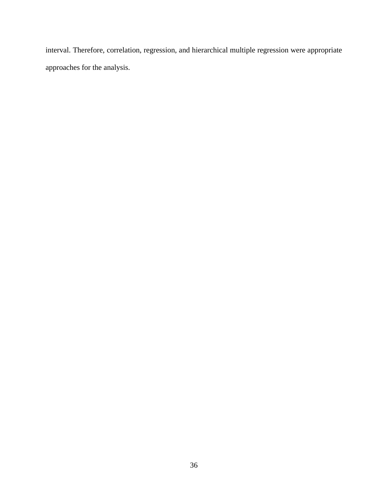interval. Therefore, correlation, regression, and hierarchical multiple regression were appropriate approaches for the analysis.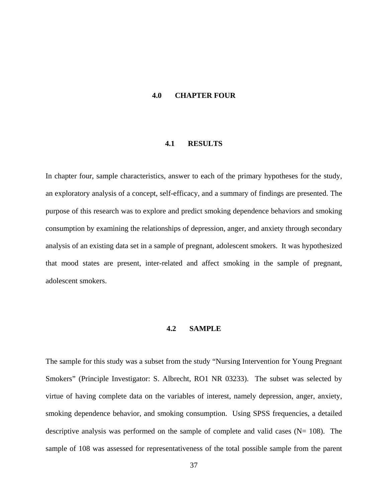#### **4.0 CHAPTER FOUR**

### **4.1 RESULTS**

In chapter four, sample characteristics, answer to each of the primary hypotheses for the study, an exploratory analysis of a concept, self-efficacy, and a summary of findings are presented. The purpose of this research was to explore and predict smoking dependence behaviors and smoking consumption by examining the relationships of depression, anger, and anxiety through secondary analysis of an existing data set in a sample of pregnant, adolescent smokers. It was hypothesized that mood states are present, inter-related and affect smoking in the sample of pregnant, adolescent smokers.

# **4.2 SAMPLE**

The sample for this study was a subset from the study "Nursing Intervention for Young Pregnant Smokers" (Principle Investigator: S. Albrecht, RO1 NR 03233). The subset was selected by virtue of having complete data on the variables of interest, namely depression, anger, anxiety, smoking dependence behavior, and smoking consumption. Using SPSS frequencies, a detailed descriptive analysis was performed on the sample of complete and valid cases  $(N= 108)$ . The sample of 108 was assessed for representativeness of the total possible sample from the parent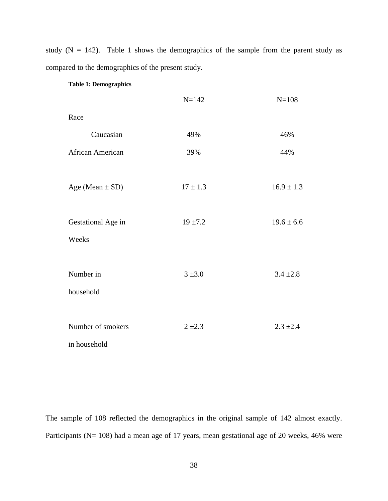study  $(N = 142)$ . Table 1 shows the demographics of the sample from the parent study as compared to the demographics of the present study.

|                                   | $N = 142$    | $N = 108$      |
|-----------------------------------|--------------|----------------|
| Race                              |              |                |
| Caucasian                         | 49%          | 46%            |
| African American                  | 39%          | 44%            |
| Age (Mean $\pm$ SD)               | $17 \pm 1.3$ | $16.9 \pm 1.3$ |
| Gestational Age in                | $19 + 7.2$   | $19.6 \pm 6.6$ |
| Weeks                             |              |                |
| Number in<br>household            | $3 + 3.0$    | $3.4 \pm 2.8$  |
| Number of smokers<br>in household | $2 + 2.3$    | $2.3 \pm 2.4$  |

**Table 1: Demographics** 

The sample of 108 reflected the demographics in the original sample of 142 almost exactly. Participants (N= 108) had a mean age of 17 years, mean gestational age of 20 weeks, 46% were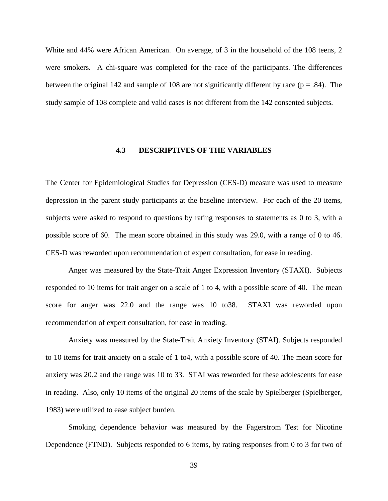White and 44% were African American. On average, of 3 in the household of the 108 teens, 2 were smokers. A chi-square was completed for the race of the participants. The differences between the original 142 and sample of 108 are not significantly different by race ( $p = .84$ ). The study sample of 108 complete and valid cases is not different from the 142 consented subjects.

# **4.3 DESCRIPTIVES OF THE VARIABLES**

The Center for Epidemiological Studies for Depression (CES-D) measure was used to measure depression in the parent study participants at the baseline interview. For each of the 20 items, subjects were asked to respond to questions by rating responses to statements as 0 to 3, with a possible score of 60. The mean score obtained in this study was 29.0, with a range of 0 to 46. CES-D was reworded upon recommendation of expert consultation, for ease in reading.

Anger was measured by the State-Trait Anger Expression Inventory (STAXI). Subjects responded to 10 items for trait anger on a scale of 1 to 4, with a possible score of 40. The mean score for anger was 22.0 and the range was 10 to38. STAXI was reworded upon recommendation of expert consultation, for ease in reading.

Anxiety was measured by the State-Trait Anxiety Inventory (STAI). Subjects responded to 10 items for trait anxiety on a scale of 1 to4, with a possible score of 40. The mean score for anxiety was 20.2 and the range was 10 to 33. STAI was reworded for these adolescents for ease in reading. Also, only 10 items of the original 20 items of the scale by Spielberger (Spielberger, 1983) were utilized to ease subject burden.

Smoking dependence behavior was measured by the Fagerstrom Test for Nicotine Dependence (FTND). Subjects responded to 6 items, by rating responses from 0 to 3 for two of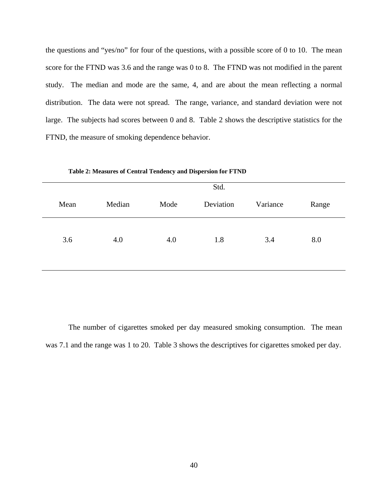the questions and "yes/no" for four of the questions, with a possible score of 0 to 10. The mean score for the FTND was 3.6 and the range was 0 to 8. The FTND was not modified in the parent study. The median and mode are the same, 4, and are about the mean reflecting a normal distribution. The data were not spread. The range, variance, and standard deviation were not large. The subjects had scores between 0 and 8. Table 2 shows the descriptive statistics for the FTND, the measure of smoking dependence behavior.

|      |        | Std. |           |          |       |
|------|--------|------|-----------|----------|-------|
| Mean | Median | Mode | Deviation | Variance | Range |
| 3.6  | 4.0    | 4.0  | 1.8       | 3.4      | 8.0   |

**Table 2: Measures of Central Tendency and Dispersion for FTND** 

The number of cigarettes smoked per day measured smoking consumption. The mean was 7.1 and the range was 1 to 20. Table 3 shows the descriptives for cigarettes smoked per day.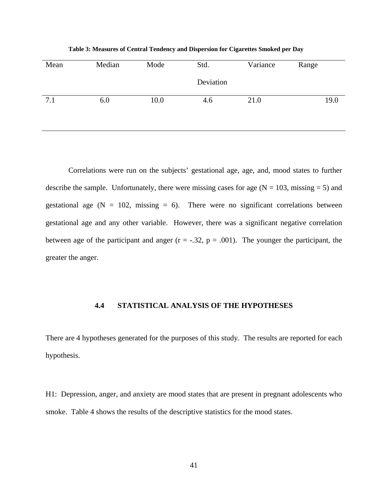Mean Median Mode Std. Deviation Variance Range 7.1 6.0 10.0 4.6 21.0 19.0

**Table 3: Measures of Central Tendency and Dispersion for Cigarettes Smoked per Day** 

Correlations were run on the subjects' gestational age, age, and, mood states to further describe the sample. Unfortunately, there were missing cases for age  $(N = 103, \text{missing} = 5)$  and gestational age  $(N = 102, \text{ missing} = 6)$ . There were no significant correlations between gestational age and any other variable. However, there was a significant negative correlation between age of the participant and anger  $(r = -.32, p = .001)$ . The younger the participant, the greater the anger.

### **4.4 STATISTICAL ANALYSIS OF THE HYPOTHESES**

There are 4 hypotheses generated for the purposes of this study. The results are reported for each hypothesis.

H1: Depression, anger, and anxiety are mood states that are present in pregnant adolescents who smoke. Table 4 shows the results of the descriptive statistics for the mood states.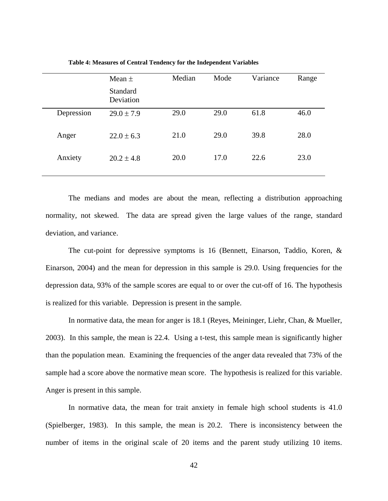|            | Mean $\pm$                   | Median | Mode | Variance | Range |
|------------|------------------------------|--------|------|----------|-------|
|            | <b>Standard</b><br>Deviation |        |      |          |       |
| Depression | $29.0 \pm 7.9$               | 29.0   | 29.0 | 61.8     | 46.0  |
| Anger      | $22.0 \pm 6.3$               | 21.0   | 29.0 | 39.8     | 28.0  |
| Anxiety    | $20.2 \pm 4.8$               | 20.0   | 17.0 | 22.6     | 23.0  |

**Table 4: Measures of Central Tendency for the Independent Variables** 

The medians and modes are about the mean, reflecting a distribution approaching normality, not skewed. The data are spread given the large values of the range, standard deviation, and variance.

The cut-point for depressive symptoms is 16 (Bennett, Einarson, Taddio, Koren, & Einarson, 2004) and the mean for depression in this sample is 29.0. Using frequencies for the depression data, 93% of the sample scores are equal to or over the cut-off of 16. The hypothesis is realized for this variable. Depression is present in the sample.

In normative data, the mean for anger is 18.1 (Reyes, Meininger, Liehr, Chan, & Mueller, 2003). In this sample, the mean is 22.4. Using a t-test, this sample mean is significantly higher than the population mean. Examining the frequencies of the anger data revealed that 73% of the sample had a score above the normative mean score. The hypothesis is realized for this variable. Anger is present in this sample.

In normative data, the mean for trait anxiety in female high school students is 41.0 (Spielberger, 1983). In this sample, the mean is 20.2. There is inconsistency between the number of items in the original scale of 20 items and the parent study utilizing 10 items.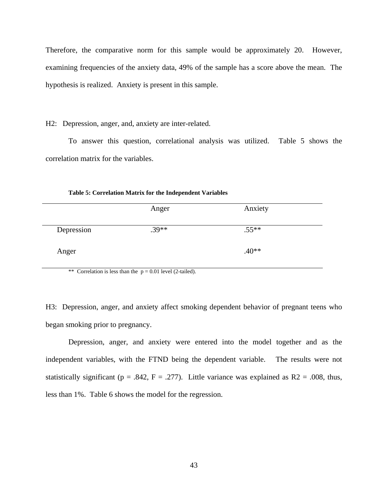Therefore, the comparative norm for this sample would be approximately 20. However, examining frequencies of the anxiety data, 49% of the sample has a score above the mean. The hypothesis is realized. Anxiety is present in this sample.

H2: Depression, anger, and, anxiety are inter-related.

To answer this question, correlational analysis was utilized. Table 5 shows the correlation matrix for the variables.

|            | Anger   | Anxiety |  |
|------------|---------|---------|--|
| Depression | $.39**$ | $.55**$ |  |
| Anger      |         | $.40**$ |  |

**Table 5: Correlation Matrix for the Independent Variables** 

\*\* Correlation is less than the  $p = 0.01$  level (2-tailed).

H3: Depression, anger, and anxiety affect smoking dependent behavior of pregnant teens who began smoking prior to pregnancy.

Depression, anger, and anxiety were entered into the model together and as the independent variables, with the FTND being the dependent variable. The results were not statistically significant ( $p = .842$ ,  $F = .277$ ). Little variance was explained as R2 = .008, thus, less than 1%. Table 6 shows the model for the regression.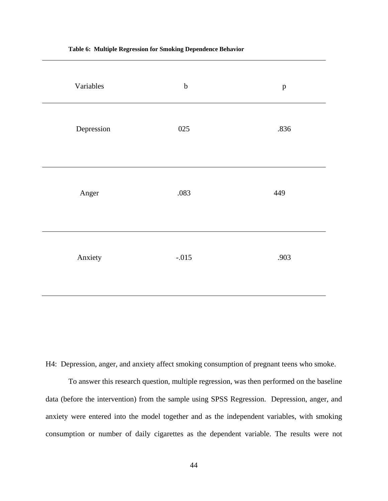| Variables  | $\bf b$ | $\, {\bf p}$ |
|------------|---------|--------------|
| Depression | 025     | .836         |
| Anger      | .083    | 449          |
| Anxiety    | $-.015$ | .903         |

**Table 6: Multiple Regression for Smoking Dependence Behavior** 

H4: Depression, anger, and anxiety affect smoking consumption of pregnant teens who smoke.

To answer this research question, multiple regression, was then performed on the baseline data (before the intervention) from the sample using SPSS Regression. Depression, anger, and anxiety were entered into the model together and as the independent variables, with smoking consumption or number of daily cigarettes as the dependent variable. The results were not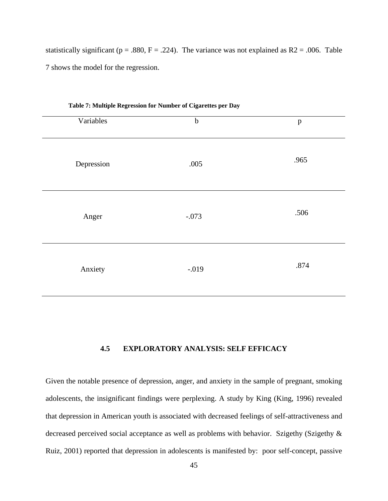statistically significant ( $p = .880$ ,  $F = .224$ ). The variance was not explained as R2 = .006. Table 7 shows the model for the regression.

| Table 7. Manaphe Regression for Funnier or eigarcites per Day |             |              |  |
|---------------------------------------------------------------|-------------|--------------|--|
| Variables                                                     | $\mathbf b$ | $\, {\bf p}$ |  |
| Depression                                                    | .005        | .965         |  |
| Anger                                                         | $-.073$     | .506         |  |
| Anxiety                                                       | $-.019$     | .874         |  |

**Table 7: Multiple Regression for Number of Cigarettes per Day** 

# **4.5 EXPLORATORY ANALYSIS: SELF EFFICACY**

Given the notable presence of depression, anger, and anxiety in the sample of pregnant, smoking adolescents, the insignificant findings were perplexing. A study by King (King, 1996) revealed that depression in American youth is associated with decreased feelings of self-attractiveness and decreased perceived social acceptance as well as problems with behavior. Szigethy (Szigethy & Ruiz, 2001) reported that depression in adolescents is manifested by: poor self-concept, passive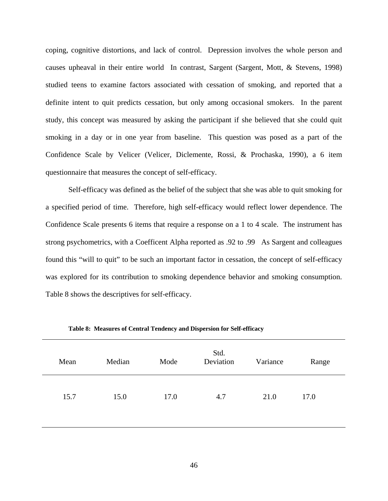coping, cognitive distortions, and lack of control. Depression involves the whole person and causes upheaval in their entire world In contrast, Sargent (Sargent, Mott, & Stevens, 1998) studied teens to examine factors associated with cessation of smoking, and reported that a definite intent to quit predicts cessation, but only among occasional smokers. In the parent study, this concept was measured by asking the participant if she believed that she could quit smoking in a day or in one year from baseline. This question was posed as a part of the Confidence Scale by Velicer (Velicer, Diclemente, Rossi, & Prochaska, 1990), a 6 item questionnaire that measures the concept of self-efficacy.

Self-efficacy was defined as the belief of the subject that she was able to quit smoking for a specified period of time. Therefore, high self-efficacy would reflect lower dependence. The Confidence Scale presents 6 items that require a response on a 1 to 4 scale. The instrument has strong psychometrics, with a Coefficent Alpha reported as .92 to .99 As Sargent and colleagues found this "will to quit" to be such an important factor in cessation, the concept of self-efficacy was explored for its contribution to smoking dependence behavior and smoking consumption. Table 8 shows the descriptives for self-efficacy.

| Mean | Median | Mode | Std.<br>Deviation | Variance | Range |
|------|--------|------|-------------------|----------|-------|
| 15.7 | 15.0   | 17.0 | 4.7               | 21.0     | 17.0  |

**Table 8: Measures of Central Tendency and Dispersion for Self-efficacy**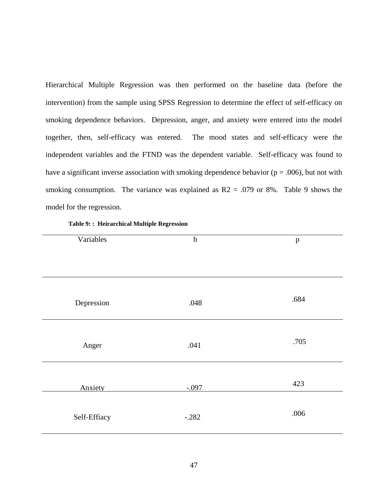Hierarchical Multiple Regression was then performed on the baseline data (before the intervention) from the sample using SPSS Regression to determine the effect of self-efficacy on smoking dependence behaviors. Depression, anger, and anxiety were entered into the model together, then, self-efficacy was entered. The mood states and self-efficacy were the independent variables and the FTND was the dependent variable. Self-efficacy was found to have a significant inverse association with smoking dependence behavior ( $p = .006$ ), but not with smoking consumption. The variance was explained as  $R2 = .079$  or 8%. Table 9 shows the model for the regression.

|  | Table 9: : Heirarchical Multiple Regression |  |  |
|--|---------------------------------------------|--|--|
|--|---------------------------------------------|--|--|

| Variables    | $\bf b$ | $\, {\bf p}$ |
|--------------|---------|--------------|
|              |         |              |
|              |         |              |
|              |         |              |
|              |         |              |
|              |         |              |
| Depression   | .048    | .684         |
|              |         |              |
|              |         |              |
|              |         | .705         |
| Anger        | .041    |              |
|              |         |              |
|              |         |              |
|              |         | 423          |
| Anxiety      | $-.097$ |              |
|              |         |              |
|              | $-.282$ | .006         |
| Self-Effiacy |         |              |
|              |         |              |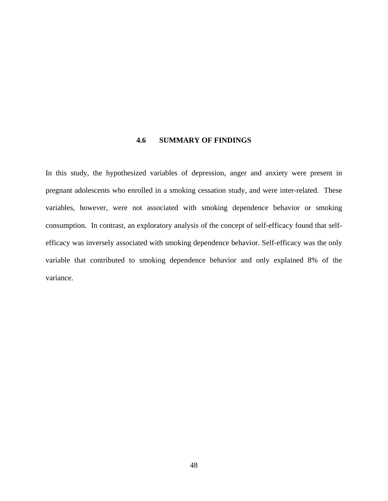# **4.6 SUMMARY OF FINDINGS**

In this study, the hypothesized variables of depression, anger and anxiety were present in pregnant adolescents who enrolled in a smoking cessation study, and were inter-related. These variables, however, were not associated with smoking dependence behavior or smoking consumption. In contrast, an exploratory analysis of the concept of self-efficacy found that selfefficacy was inversely associated with smoking dependence behavior. Self-efficacy was the only variable that contributed to smoking dependence behavior and only explained 8% of the variance.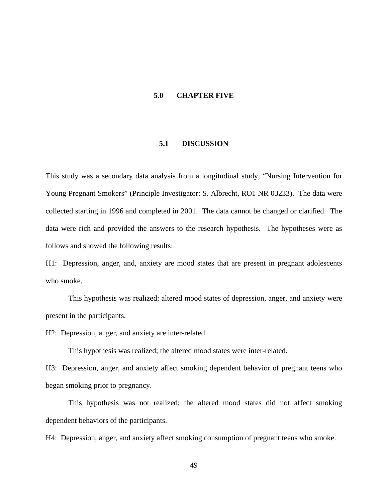### **5.0 CHAPTER FIVE**

## **5.1 DISCUSSION**

This study was a secondary data analysis from a longitudinal study, "Nursing Intervention for Young Pregnant Smokers" (Principle Investigator: S. Albrecht, RO1 NR 03233). The data were collected starting in 1996 and completed in 2001. The data cannot be changed or clarified. The data were rich and provided the answers to the research hypothesis. The hypotheses were as follows and showed the following results:

H1: Depression, anger, and, anxiety are mood states that are present in pregnant adolescents who smoke.

This hypothesis was realized; altered mood states of depression, anger, and anxiety were present in the participants.

H2: Depression, anger, and anxiety are inter-related.

This hypothesis was realized; the altered mood states were inter-related.

H3: Depression, anger, and anxiety affect smoking dependent behavior of pregnant teens who began smoking prior to pregnancy.

This hypothesis was not realized; the altered mood states did not affect smoking dependent behaviors of the participants.

H4: Depression, anger, and anxiety affect smoking consumption of pregnant teens who smoke.

49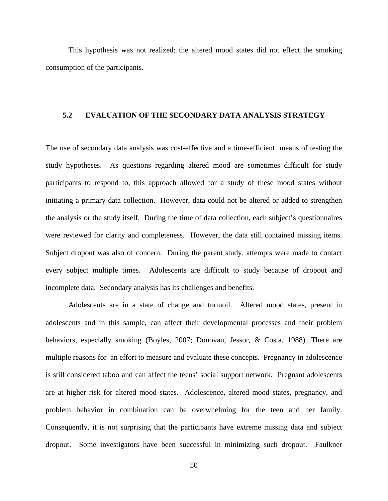This hypothesis was not realized; the altered mood states did not effect the smoking consumption of the participants.

# **5.2 EVALUATION OF THE SECONDARY DATA ANALYSIS STRATEGY**

The use of secondary data analysis was cost-effective and a time-efficient means of testing the study hypotheses. As questions regarding altered mood are sometimes difficult for study participants to respond to, this approach allowed for a study of these mood states without initiating a primary data collection. However, data could not be altered or added to strengthen the analysis or the study itself. During the time of data collection, each subject's questionnaires were reviewed for clarity and completeness. However, the data still contained missing items. Subject dropout was also of concern. During the parent study, attempts were made to contact every subject multiple times. Adolescents are difficult to study because of dropout and incomplete data. Secondary analysis has its challenges and benefits.

Adolescents are in a state of change and turmoil. Altered mood states, present in adolescents and in this sample, can affect their developmental processes and their problem behaviors, especially smoking (Boyles, 2007; Donovan, Jessor, & Costa, 1988). There are multiple reasons for an effort to measure and evaluate these concepts. Pregnancy in adolescence is still considered taboo and can affect the teens' social support network. Pregnant adolescents are at higher risk for altered mood states. Adolescence, altered mood states, pregnancy, and problem behavior in combination can be overwhelming for the teen and her family. Consequently, it is not surprising that the participants have extreme missing data and subject dropout. Some investigators have been successful in minimizing such dropout. Faulkner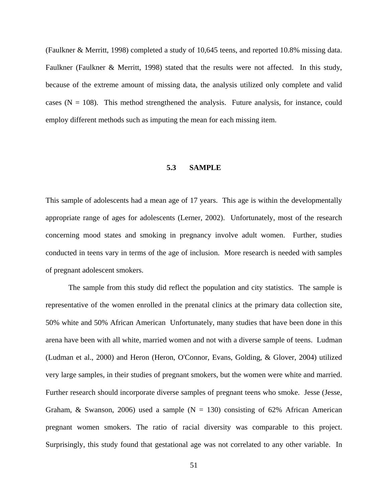(Faulkner & Merritt, 1998) completed a study of 10,645 teens, and reported 10.8% missing data. Faulkner (Faulkner & Merritt, 1998) stated that the results were not affected. In this study, because of the extreme amount of missing data, the analysis utilized only complete and valid cases  $(N = 108)$ . This method strengthened the analysis. Future analysis, for instance, could employ different methods such as imputing the mean for each missing item.

### **5.3 SAMPLE**

This sample of adolescents had a mean age of 17 years. This age is within the developmentally appropriate range of ages for adolescents (Lerner, 2002). Unfortunately, most of the research concerning mood states and smoking in pregnancy involve adult women. Further, studies conducted in teens vary in terms of the age of inclusion. More research is needed with samples of pregnant adolescent smokers.

The sample from this study did reflect the population and city statistics. The sample is representative of the women enrolled in the prenatal clinics at the primary data collection site, 50% white and 50% African American Unfortunately, many studies that have been done in this arena have been with all white, married women and not with a diverse sample of teens. Ludman (Ludman et al., 2000) and Heron (Heron, O'Connor, Evans, Golding, & Glover, 2004) utilized very large samples, in their studies of pregnant smokers, but the women were white and married. Further research should incorporate diverse samples of pregnant teens who smoke. Jesse (Jesse, Graham, & Swanson, 2006) used a sample  $(N = 130)$  consisting of 62% African American pregnant women smokers. The ratio of racial diversity was comparable to this project. Surprisingly, this study found that gestational age was not correlated to any other variable. In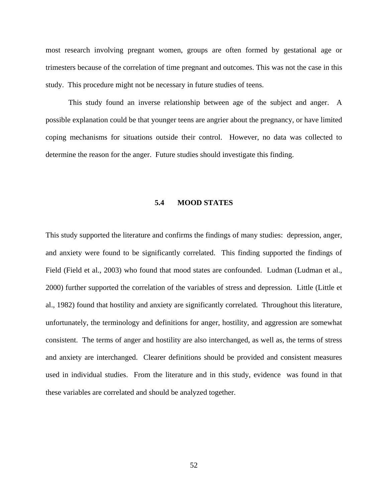most research involving pregnant women, groups are often formed by gestational age or trimesters because of the correlation of time pregnant and outcomes. This was not the case in this study. This procedure might not be necessary in future studies of teens.

This study found an inverse relationship between age of the subject and anger. A possible explanation could be that younger teens are angrier about the pregnancy, or have limited coping mechanisms for situations outside their control. However, no data was collected to determine the reason for the anger. Future studies should investigate this finding.

# **5.4 MOOD STATES**

This study supported the literature and confirms the findings of many studies: depression, anger, and anxiety were found to be significantly correlated. This finding supported the findings of Field (Field et al., 2003) who found that mood states are confounded. Ludman (Ludman et al., 2000) further supported the correlation of the variables of stress and depression. Little (Little et al., 1982) found that hostility and anxiety are significantly correlated. Throughout this literature, unfortunately, the terminology and definitions for anger, hostility, and aggression are somewhat consistent. The terms of anger and hostility are also interchanged, as well as, the terms of stress and anxiety are interchanged. Clearer definitions should be provided and consistent measures used in individual studies. From the literature and in this study, evidence was found in that these variables are correlated and should be analyzed together.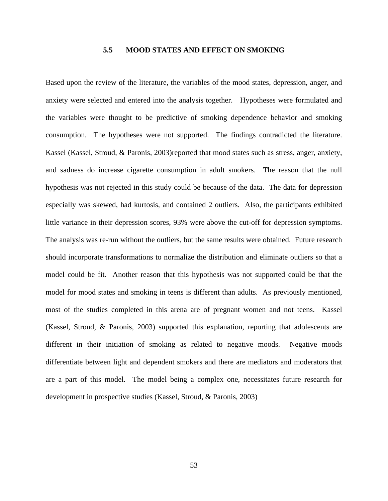# **5.5 MOOD STATES AND EFFECT ON SMOKING**

Based upon the review of the literature, the variables of the mood states, depression, anger, and anxiety were selected and entered into the analysis together. Hypotheses were formulated and the variables were thought to be predictive of smoking dependence behavior and smoking consumption. The hypotheses were not supported. The findings contradicted the literature. Kassel (Kassel, Stroud, & Paronis, 2003)reported that mood states such as stress, anger, anxiety, and sadness do increase cigarette consumption in adult smokers. The reason that the null hypothesis was not rejected in this study could be because of the data. The data for depression especially was skewed, had kurtosis, and contained 2 outliers. Also, the participants exhibited little variance in their depression scores, 93% were above the cut-off for depression symptoms. The analysis was re-run without the outliers, but the same results were obtained. Future research should incorporate transformations to normalize the distribution and eliminate outliers so that a model could be fit. Another reason that this hypothesis was not supported could be that the model for mood states and smoking in teens is different than adults. As previously mentioned, most of the studies completed in this arena are of pregnant women and not teens. Kassel (Kassel, Stroud, & Paronis, 2003) supported this explanation, reporting that adolescents are different in their initiation of smoking as related to negative moods. Negative moods differentiate between light and dependent smokers and there are mediators and moderators that are a part of this model. The model being a complex one, necessitates future research for development in prospective studies (Kassel, Stroud, & Paronis, 2003)

53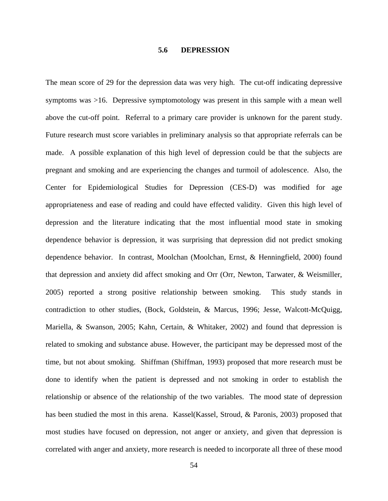## **5.6 DEPRESSION**

The mean score of 29 for the depression data was very high. The cut-off indicating depressive symptoms was >16. Depressive symptomotology was present in this sample with a mean well above the cut-off point. Referral to a primary care provider is unknown for the parent study. Future research must score variables in preliminary analysis so that appropriate referrals can be made. A possible explanation of this high level of depression could be that the subjects are pregnant and smoking and are experiencing the changes and turmoil of adolescence. Also, the Center for Epidemiological Studies for Depression (CES-D) was modified for age appropriateness and ease of reading and could have effected validity. Given this high level of depression and the literature indicating that the most influential mood state in smoking dependence behavior is depression, it was surprising that depression did not predict smoking dependence behavior. In contrast, Moolchan (Moolchan, Ernst, & Henningfield, 2000) found that depression and anxiety did affect smoking and Orr (Orr, Newton, Tarwater, & Weismiller, 2005) reported a strong positive relationship between smoking. This study stands in contradiction to other studies, (Bock, Goldstein, & Marcus, 1996; Jesse, Walcott-McQuigg, Mariella, & Swanson, 2005; Kahn, Certain, & Whitaker, 2002) and found that depression is related to smoking and substance abuse. However, the participant may be depressed most of the time, but not about smoking. Shiffman (Shiffman, 1993) proposed that more research must be done to identify when the patient is depressed and not smoking in order to establish the relationship or absence of the relationship of the two variables. The mood state of depression has been studied the most in this arena. Kassel(Kassel, Stroud, & Paronis, 2003) proposed that most studies have focused on depression, not anger or anxiety, and given that depression is correlated with anger and anxiety, more research is needed to incorporate all three of these mood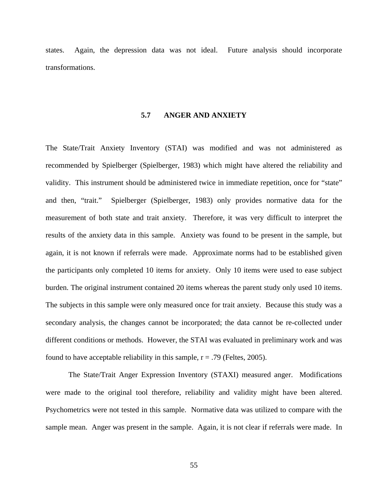states. Again, the depression data was not ideal. Future analysis should incorporate transformations.

### **5.7 ANGER AND ANXIETY**

The State/Trait Anxiety Inventory (STAI) was modified and was not administered as recommended by Spielberger (Spielberger, 1983) which might have altered the reliability and validity. This instrument should be administered twice in immediate repetition, once for "state" and then, "trait." Spielberger (Spielberger, 1983) only provides normative data for the measurement of both state and trait anxiety. Therefore, it was very difficult to interpret the results of the anxiety data in this sample. Anxiety was found to be present in the sample, but again, it is not known if referrals were made. Approximate norms had to be established given the participants only completed 10 items for anxiety. Only 10 items were used to ease subject burden. The original instrument contained 20 items whereas the parent study only used 10 items. The subjects in this sample were only measured once for trait anxiety. Because this study was a secondary analysis, the changes cannot be incorporated; the data cannot be re-collected under different conditions or methods. However, the STAI was evaluated in preliminary work and was found to have acceptable reliability in this sample,  $r = .79$  (Feltes, 2005).

The State/Trait Anger Expression Inventory (STAXI) measured anger. Modifications were made to the original tool therefore, reliability and validity might have been altered. Psychometrics were not tested in this sample. Normative data was utilized to compare with the sample mean. Anger was present in the sample. Again, it is not clear if referrals were made. In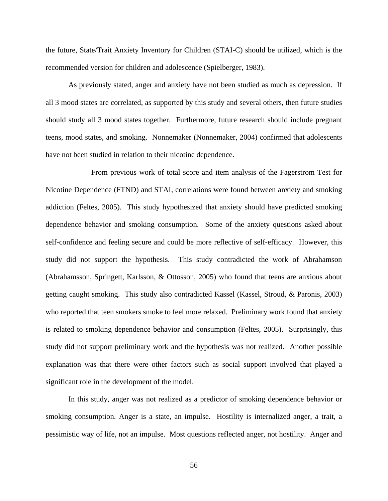the future, State/Trait Anxiety Inventory for Children (STAI-C) should be utilized, which is the recommended version for children and adolescence (Spielberger, 1983).

As previously stated, anger and anxiety have not been studied as much as depression. If all 3 mood states are correlated, as supported by this study and several others, then future studies should study all 3 mood states together. Furthermore, future research should include pregnant teens, mood states, and smoking. Nonnemaker (Nonnemaker, 2004) confirmed that adolescents have not been studied in relation to their nicotine dependence.

 From previous work of total score and item analysis of the Fagerstrom Test for Nicotine Dependence (FTND) and STAI, correlations were found between anxiety and smoking addiction (Feltes, 2005). This study hypothesized that anxiety should have predicted smoking dependence behavior and smoking consumption. Some of the anxiety questions asked about self-confidence and feeling secure and could be more reflective of self-efficacy. However, this study did not support the hypothesis. This study contradicted the work of Abrahamson (Abrahamsson, Springett, Karlsson, & Ottosson, 2005) who found that teens are anxious about getting caught smoking. This study also contradicted Kassel (Kassel, Stroud, & Paronis, 2003) who reported that teen smokers smoke to feel more relaxed. Preliminary work found that anxiety is related to smoking dependence behavior and consumption (Feltes, 2005). Surprisingly, this study did not support preliminary work and the hypothesis was not realized. Another possible explanation was that there were other factors such as social support involved that played a significant role in the development of the model.

In this study, anger was not realized as a predictor of smoking dependence behavior or smoking consumption. Anger is a state, an impulse. Hostility is internalized anger, a trait, a pessimistic way of life, not an impulse. Most questions reflected anger, not hostility. Anger and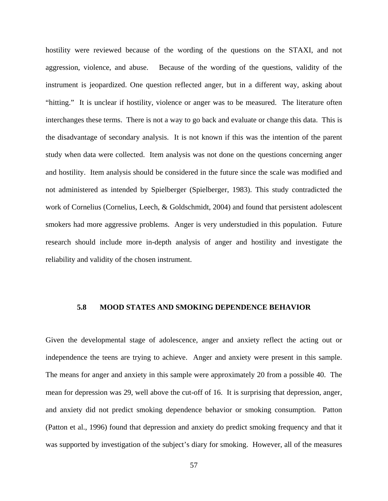hostility were reviewed because of the wording of the questions on the STAXI, and not aggression, violence, and abuse. Because of the wording of the questions, validity of the instrument is jeopardized. One question reflected anger, but in a different way, asking about "hitting." It is unclear if hostility, violence or anger was to be measured. The literature often interchanges these terms. There is not a way to go back and evaluate or change this data. This is the disadvantage of secondary analysis. It is not known if this was the intention of the parent study when data were collected. Item analysis was not done on the questions concerning anger and hostility. Item analysis should be considered in the future since the scale was modified and not administered as intended by Spielberger (Spielberger, 1983). This study contradicted the work of Cornelius (Cornelius, Leech, & Goldschmidt, 2004) and found that persistent adolescent smokers had more aggressive problems. Anger is very understudied in this population. Future research should include more in-depth analysis of anger and hostility and investigate the reliability and validity of the chosen instrument.

# **5.8 MOOD STATES AND SMOKING DEPENDENCE BEHAVIOR**

Given the developmental stage of adolescence, anger and anxiety reflect the acting out or independence the teens are trying to achieve. Anger and anxiety were present in this sample. The means for anger and anxiety in this sample were approximately 20 from a possible 40. The mean for depression was 29, well above the cut-off of 16. It is surprising that depression, anger, and anxiety did not predict smoking dependence behavior or smoking consumption. Patton (Patton et al., 1996) found that depression and anxiety do predict smoking frequency and that it was supported by investigation of the subject's diary for smoking. However, all of the measures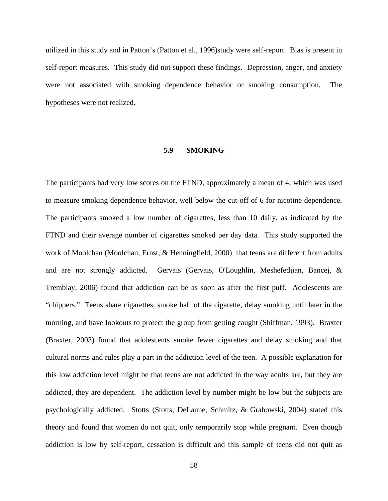utilized in this study and in Patton's (Patton et al., 1996)study were self-report. Bias is present in self-report measures. This study did not support these findings. Depression, anger, and anxiety were not associated with smoking dependence behavior or smoking consumption. The hypotheses were not realized.

# **5.9 SMOKING**

The participants had very low scores on the FTND, approximately a mean of 4, which was used to measure smoking dependence behavior, well below the cut-off of 6 for nicotine dependence. The participants smoked a low number of cigarettes, less than 10 daily, as indicated by the FTND and their average number of cigarettes smoked per day data. This study supported the work of Moolchan (Moolchan, Ernst, & Henningfield, 2000) that teens are different from adults and are not strongly addicted. Gervais (Gervais, O'Loughlin, Meshefedjian, Bancej, & Tremblay, 2006) found that addiction can be as soon as after the first puff. Adolescents are "chippers." Teens share cigarettes, smoke half of the cigarette, delay smoking until later in the morning, and have lookouts to protect the group from getting caught (Shiffman, 1993). Braxter (Braxter, 2003) found that adolescents smoke fewer cigarettes and delay smoking and that cultural norms and rules play a part in the addiction level of the teen. A possible explanation for this low addiction level might be that teens are not addicted in the way adults are, but they are addicted, they are dependent. The addiction level by number might be low but the subjects are psychologically addicted. Stotts (Stotts, DeLaune, Schmitz, & Grabowski, 2004) stated this theory and found that women do not quit, only temporarily stop while pregnant. Even though addiction is low by self-report, cessation is difficult and this sample of teens did not quit as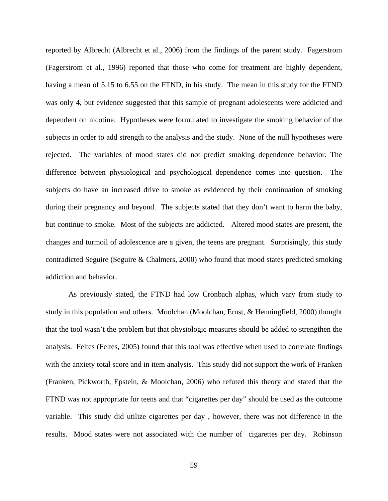reported by Albrecht (Albrecht et al., 2006) from the findings of the parent study. Fagerstrom (Fagerstrom et al., 1996) reported that those who come for treatment are highly dependent, having a mean of 5.15 to 6.55 on the FTND, in his study. The mean in this study for the FTND was only 4, but evidence suggested that this sample of pregnant adolescents were addicted and dependent on nicotine. Hypotheses were formulated to investigate the smoking behavior of the subjects in order to add strength to the analysis and the study. None of the null hypotheses were rejected. The variables of mood states did not predict smoking dependence behavior. The difference between physiological and psychological dependence comes into question. The subjects do have an increased drive to smoke as evidenced by their continuation of smoking during their pregnancy and beyond. The subjects stated that they don't want to harm the baby, but continue to smoke. Most of the subjects are addicted. Altered mood states are present, the changes and turmoil of adolescence are a given, the teens are pregnant. Surprisingly, this study contradicted Seguire (Seguire & Chalmers, 2000) who found that mood states predicted smoking addiction and behavior.

As previously stated, the FTND had low Cronbach alphas, which vary from study to study in this population and others. Moolchan (Moolchan, Ernst, & Henningfield, 2000) thought that the tool wasn't the problem but that physiologic measures should be added to strengthen the analysis. Feltes (Feltes, 2005) found that this tool was effective when used to correlate findings with the anxiety total score and in item analysis. This study did not support the work of Franken (Franken, Pickworth, Epstein, & Moolchan, 2006) who refuted this theory and stated that the FTND was not appropriate for teens and that "cigarettes per day" should be used as the outcome variable. This study did utilize cigarettes per day , however, there was not difference in the results. Mood states were not associated with the number of cigarettes per day. Robinson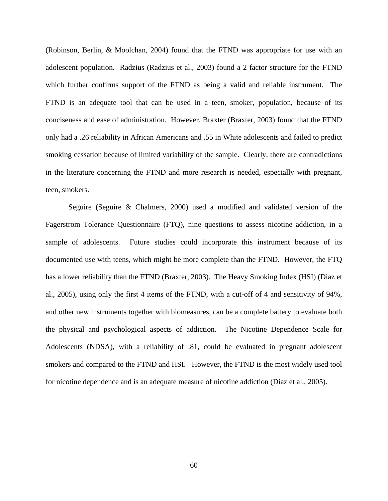(Robinson, Berlin, & Moolchan, 2004) found that the FTND was appropriate for use with an adolescent population. Radzius (Radzius et al., 2003) found a 2 factor structure for the FTND which further confirms support of the FTND as being a valid and reliable instrument. The FTND is an adequate tool that can be used in a teen, smoker, population, because of its conciseness and ease of administration. However, Braxter (Braxter, 2003) found that the FTND only had a .26 reliability in African Americans and .55 in White adolescents and failed to predict smoking cessation because of limited variability of the sample. Clearly, there are contradictions in the literature concerning the FTND and more research is needed, especially with pregnant, teen, smokers.

Seguire (Seguire & Chalmers, 2000) used a modified and validated version of the Fagerstrom Tolerance Questionnaire (FTQ), nine questions to assess nicotine addiction, in a sample of adolescents. Future studies could incorporate this instrument because of its documented use with teens, which might be more complete than the FTND. However, the FTQ has a lower reliability than the FTND (Braxter, 2003). The Heavy Smoking Index (HSI) (Diaz et al., 2005), using only the first 4 items of the FTND, with a cut-off of 4 and sensitivity of 94%, and other new instruments together with biomeasures, can be a complete battery to evaluate both the physical and psychological aspects of addiction. The Nicotine Dependence Scale for Adolescents (NDSA), with a reliability of .81, could be evaluated in pregnant adolescent smokers and compared to the FTND and HSI. However, the FTND is the most widely used tool for nicotine dependence and is an adequate measure of nicotine addiction (Diaz et al., 2005).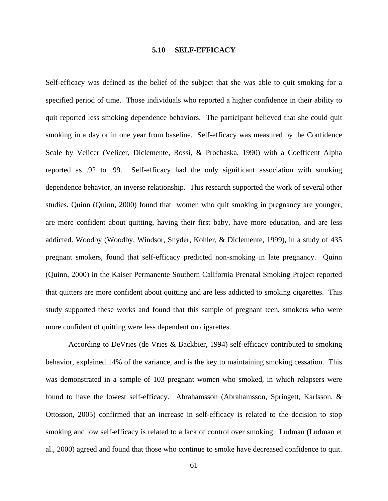### **5.10 SELF-EFFICACY**

Self-efficacy was defined as the belief of the subject that she was able to quit smoking for a specified period of time. Those individuals who reported a higher confidence in their ability to quit reported less smoking dependence behaviors. The participant believed that she could quit smoking in a day or in one year from baseline. Self-efficacy was measured by the Confidence Scale by Velicer (Velicer, Diclemente, Rossi, & Prochaska, 1990) with a Coefficent Alpha reported as .92 to .99. Self-efficacy had the only significant association with smoking dependence behavior, an inverse relationship. This research supported the work of several other studies. Quinn (Quinn, 2000) found that women who quit smoking in pregnancy are younger, are more confident about quitting, having their first baby, have more education, and are less addicted. Woodby (Woodby, Windsor, Snyder, Kohler, & Diclemente, 1999), in a study of 435 pregnant smokers, found that self-efficacy predicted non-smoking in late pregnancy. Quinn (Quinn, 2000) in the Kaiser Permanente Southern California Prenatal Smoking Project reported that quitters are more confident about quitting and are less addicted to smoking cigarettes. This study supported these works and found that this sample of pregnant teen, smokers who were more confident of quitting were less dependent on cigarettes.

According to DeVries (de Vries & Backbier, 1994) self-efficacy contributed to smoking behavior, explained 14% of the variance, and is the key to maintaining smoking cessation. This was demonstrated in a sample of 103 pregnant women who smoked, in which relapsers were found to have the lowest self-efficacy. Abrahamsson (Abrahamsson, Springett, Karlsson, & Ottosson, 2005) confirmed that an increase in self-efficacy is related to the decision to stop smoking and low self-efficacy is related to a lack of control over smoking. Ludman (Ludman et al., 2000) agreed and found that those who continue to smoke have decreased confidence to quit.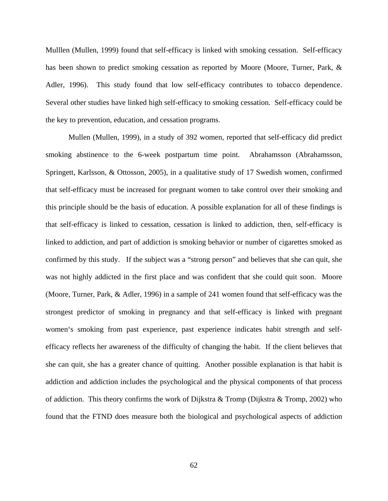Mulllen (Mullen, 1999) found that self-efficacy is linked with smoking cessation. Self-efficacy has been shown to predict smoking cessation as reported by Moore (Moore, Turner, Park, & Adler, 1996). This study found that low self-efficacy contributes to tobacco dependence. Several other studies have linked high self-efficacy to smoking cessation. Self-efficacy could be the key to prevention, education, and cessation programs.

Mullen (Mullen, 1999), in a study of 392 women, reported that self-efficacy did predict smoking abstinence to the 6-week postpartum time point. Abrahamsson (Abrahamsson, Springett, Karlsson, & Ottosson, 2005), in a qualitative study of 17 Swedish women, confirmed that self-efficacy must be increased for pregnant women to take control over their smoking and this principle should be the basis of education. A possible explanation for all of these findings is that self-efficacy is linked to cessation, cessation is linked to addiction, then, self-efficacy is linked to addiction, and part of addiction is smoking behavior or number of cigarettes smoked as confirmed by this study. If the subject was a "strong person" and believes that she can quit, she was not highly addicted in the first place and was confident that she could quit soon. Moore (Moore, Turner, Park, & Adler, 1996) in a sample of 241 women found that self-efficacy was the strongest predictor of smoking in pregnancy and that self-efficacy is linked with pregnant women's smoking from past experience, past experience indicates habit strength and selfefficacy reflects her awareness of the difficulty of changing the habit. If the client believes that she can quit, she has a greater chance of quitting. Another possible explanation is that habit is addiction and addiction includes the psychological and the physical components of that process of addiction. This theory confirms the work of Dijkstra & Tromp (Dijkstra & Tromp, 2002) who found that the FTND does measure both the biological and psychological aspects of addiction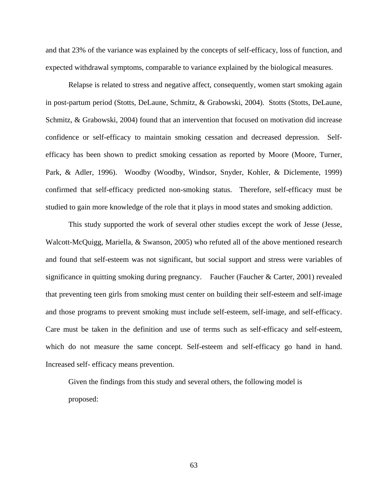and that 23% of the variance was explained by the concepts of self-efficacy, loss of function, and expected withdrawal symptoms, comparable to variance explained by the biological measures.

Relapse is related to stress and negative affect, consequently, women start smoking again in post-partum period (Stotts, DeLaune, Schmitz, & Grabowski, 2004). Stotts (Stotts, DeLaune, Schmitz, & Grabowski, 2004) found that an intervention that focused on motivation did increase confidence or self-efficacy to maintain smoking cessation and decreased depression. Selfefficacy has been shown to predict smoking cessation as reported by Moore (Moore, Turner, Park, & Adler, 1996). Woodby (Woodby, Windsor, Snyder, Kohler, & Diclemente, 1999) confirmed that self-efficacy predicted non-smoking status. Therefore, self-efficacy must be studied to gain more knowledge of the role that it plays in mood states and smoking addiction.

This study supported the work of several other studies except the work of Jesse (Jesse, Walcott-McQuigg, Mariella, & Swanson, 2005) who refuted all of the above mentioned research and found that self-esteem was not significant, but social support and stress were variables of significance in quitting smoking during pregnancy. Faucher (Faucher & Carter, 2001) revealed that preventing teen girls from smoking must center on building their self-esteem and self-image and those programs to prevent smoking must include self-esteem, self-image, and self-efficacy. Care must be taken in the definition and use of terms such as self-efficacy and self-esteem, which do not measure the same concept. Self-esteem and self-efficacy go hand in hand. Increased self- efficacy means prevention.

Given the findings from this study and several others, the following model is proposed:

63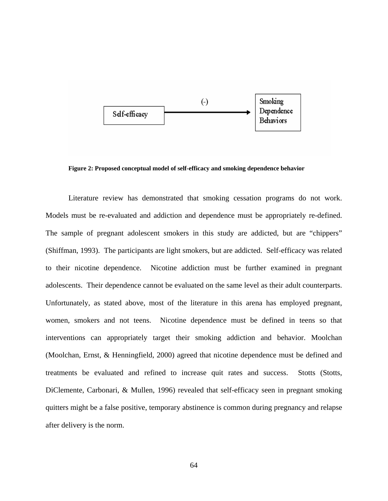

**Figure 2: Proposed conceptual model of self-efficacy and smoking dependence behavior** 

Literature review has demonstrated that smoking cessation programs do not work. Models must be re-evaluated and addiction and dependence must be appropriately re-defined. The sample of pregnant adolescent smokers in this study are addicted, but are "chippers" (Shiffman, 1993). The participants are light smokers, but are addicted. Self-efficacy was related to their nicotine dependence. Nicotine addiction must be further examined in pregnant adolescents. Their dependence cannot be evaluated on the same level as their adult counterparts. Unfortunately, as stated above, most of the literature in this arena has employed pregnant, women, smokers and not teens. Nicotine dependence must be defined in teens so that interventions can appropriately target their smoking addiction and behavior. Moolchan (Moolchan, Ernst, & Henningfield, 2000) agreed that nicotine dependence must be defined and treatments be evaluated and refined to increase quit rates and success. Stotts (Stotts, DiClemente, Carbonari, & Mullen, 1996) revealed that self-efficacy seen in pregnant smoking quitters might be a false positive, temporary abstinence is common during pregnancy and relapse after delivery is the norm.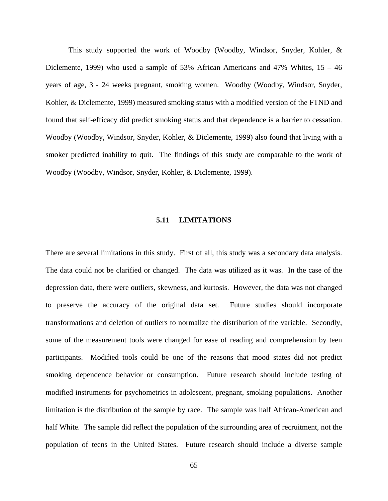This study supported the work of Woodby (Woodby, Windsor, Snyder, Kohler, & Diclemente, 1999) who used a sample of 53% African Americans and 47% Whites, 15 – 46 years of age, 3 - 24 weeks pregnant, smoking women. Woodby (Woodby, Windsor, Snyder, Kohler, & Diclemente, 1999) measured smoking status with a modified version of the FTND and found that self-efficacy did predict smoking status and that dependence is a barrier to cessation. Woodby (Woodby, Windsor, Snyder, Kohler, & Diclemente, 1999) also found that living with a smoker predicted inability to quit. The findings of this study are comparable to the work of Woodby (Woodby, Windsor, Snyder, Kohler, & Diclemente, 1999).

### **5.11 LIMITATIONS**

There are several limitations in this study. First of all, this study was a secondary data analysis. The data could not be clarified or changed. The data was utilized as it was. In the case of the depression data, there were outliers, skewness, and kurtosis. However, the data was not changed to preserve the accuracy of the original data set. Future studies should incorporate transformations and deletion of outliers to normalize the distribution of the variable. Secondly, some of the measurement tools were changed for ease of reading and comprehension by teen participants. Modified tools could be one of the reasons that mood states did not predict smoking dependence behavior or consumption. Future research should include testing of modified instruments for psychometrics in adolescent, pregnant, smoking populations. Another limitation is the distribution of the sample by race. The sample was half African-American and half White. The sample did reflect the population of the surrounding area of recruitment, not the population of teens in the United States. Future research should include a diverse sample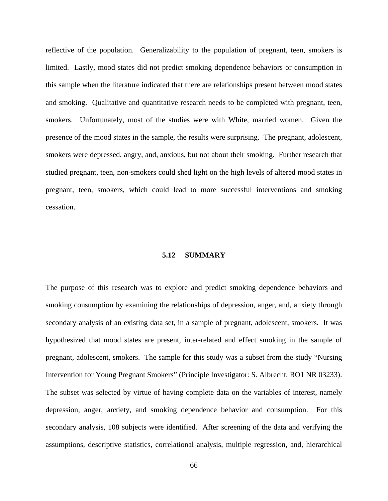reflective of the population. Generalizability to the population of pregnant, teen, smokers is limited. Lastly, mood states did not predict smoking dependence behaviors or consumption in this sample when the literature indicated that there are relationships present between mood states and smoking. Qualitative and quantitative research needs to be completed with pregnant, teen, smokers. Unfortunately, most of the studies were with White, married women. Given the presence of the mood states in the sample, the results were surprising. The pregnant, adolescent, smokers were depressed, angry, and, anxious, but not about their smoking. Further research that studied pregnant, teen, non-smokers could shed light on the high levels of altered mood states in pregnant, teen, smokers, which could lead to more successful interventions and smoking cessation.

## **5.12 SUMMARY**

The purpose of this research was to explore and predict smoking dependence behaviors and smoking consumption by examining the relationships of depression, anger, and, anxiety through secondary analysis of an existing data set, in a sample of pregnant, adolescent, smokers. It was hypothesized that mood states are present, inter-related and effect smoking in the sample of pregnant, adolescent, smokers. The sample for this study was a subset from the study "Nursing Intervention for Young Pregnant Smokers" (Principle Investigator: S. Albrecht, RO1 NR 03233). The subset was selected by virtue of having complete data on the variables of interest, namely depression, anger, anxiety, and smoking dependence behavior and consumption. For this secondary analysis, 108 subjects were identified. After screening of the data and verifying the assumptions, descriptive statistics, correlational analysis, multiple regression, and, hierarchical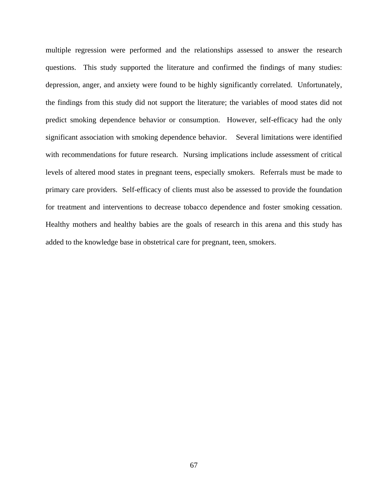multiple regression were performed and the relationships assessed to answer the research questions. This study supported the literature and confirmed the findings of many studies: depression, anger, and anxiety were found to be highly significantly correlated. Unfortunately, the findings from this study did not support the literature; the variables of mood states did not predict smoking dependence behavior or consumption. However, self-efficacy had the only significant association with smoking dependence behavior. Several limitations were identified with recommendations for future research. Nursing implications include assessment of critical levels of altered mood states in pregnant teens, especially smokers. Referrals must be made to primary care providers. Self-efficacy of clients must also be assessed to provide the foundation for treatment and interventions to decrease tobacco dependence and foster smoking cessation. Healthy mothers and healthy babies are the goals of research in this arena and this study has added to the knowledge base in obstetrical care for pregnant, teen, smokers.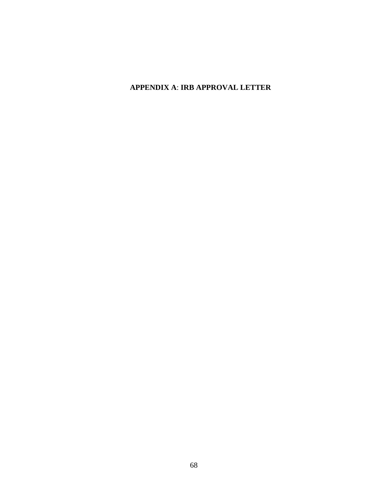## **APPENDIX A**: **IRB APPROVAL LETTER**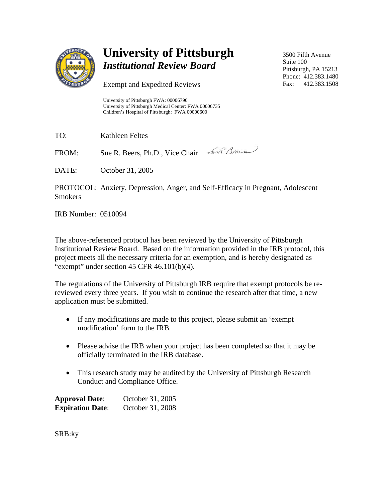

# **University of Pittsburgh**  *Institutional Review Board*

Exempt and Expedited Reviews

University of Pittsburgh FWA: 00006790 University of Pittsburgh Medical Center: FWA 00006735 Children's Hospital of Pittsburgh: FWA 00000600

TO: Kathleen Feltes

FROM: Sue R. Beers, Ph.D., Vice Chair An Cheese

DATE: October 31, 2005

PROTOCOL: Anxiety, Depression, Anger, and Self-Efficacy in Pregnant, Adolescent Smokers

IRB Number: 0510094

The above-referenced protocol has been reviewed by the University of Pittsburgh Institutional Review Board. Based on the information provided in the IRB protocol, this project meets all the necessary criteria for an exemption, and is hereby designated as "exempt" under section  $45$  CFR  $46.101(b)(4)$ .

The regulations of the University of Pittsburgh IRB require that exempt protocols be rereviewed every three years. If you wish to continue the research after that time, a new application must be submitted.

- If any modifications are made to this project, please submit an 'exempt modification' form to the IRB.
- Please advise the IRB when your project has been completed so that it may be officially terminated in the IRB database.
- This research study may be audited by the University of Pittsburgh Research Conduct and Compliance Office.

| <b>Approval Date:</b>   | October 31, 2005 |
|-------------------------|------------------|
| <b>Expiration Date:</b> | October 31, 2008 |

SRB:ky

3500 Fifth Avenue Suite 100 Pittsburgh, PA 15213 Phone: 412.383.1480 Fax: 412.383.1508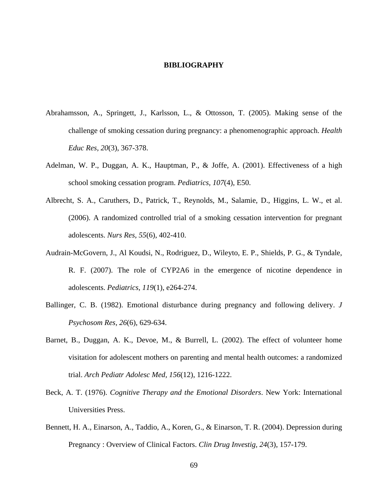#### **BIBLIOGRAPHY**

- Abrahamsson, A., Springett, J., Karlsson, L., & Ottosson, T. (2005). Making sense of the challenge of smoking cessation during pregnancy: a phenomenographic approach. *Health Educ Res, 20*(3), 367-378.
- Adelman, W. P., Duggan, A. K., Hauptman, P., & Joffe, A. (2001). Effectiveness of a high school smoking cessation program. *Pediatrics, 107*(4), E50.
- Albrecht, S. A., Caruthers, D., Patrick, T., Reynolds, M., Salamie, D., Higgins, L. W., et al. (2006). A randomized controlled trial of a smoking cessation intervention for pregnant adolescents. *Nurs Res, 55*(6), 402-410.
- Audrain-McGovern, J., Al Koudsi, N., Rodriguez, D., Wileyto, E. P., Shields, P. G., & Tyndale, R. F. (2007). The role of CYP2A6 in the emergence of nicotine dependence in adolescents. *Pediatrics, 119*(1), e264-274.
- Ballinger, C. B. (1982). Emotional disturbance during pregnancy and following delivery. *J Psychosom Res, 26*(6), 629-634.
- Barnet, B., Duggan, A. K., Devoe, M., & Burrell, L. (2002). The effect of volunteer home visitation for adolescent mothers on parenting and mental health outcomes: a randomized trial. *Arch Pediatr Adolesc Med, 156*(12), 1216-1222.
- Beck, A. T. (1976). *Cognitive Therapy and the Emotional Disorders*. New York: International Universities Press.
- Bennett, H. A., Einarson, A., Taddio, A., Koren, G., & Einarson, T. R. (2004). Depression during Pregnancy : Overview of Clinical Factors. *Clin Drug Investig, 24*(3), 157-179.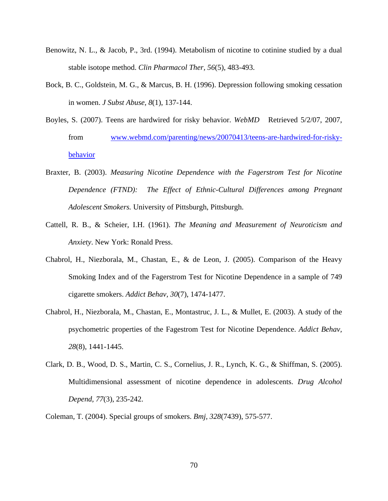- Benowitz, N. L., & Jacob, P., 3rd. (1994). Metabolism of nicotine to cotinine studied by a dual stable isotope method. *Clin Pharmacol Ther, 56*(5), 483-493.
- Bock, B. C., Goldstein, M. G., & Marcus, B. H. (1996). Depression following smoking cessation in women. *J Subst Abuse, 8*(1), 137-144.
- Boyles, S. (2007). Teens are hardwired for risky behavior. *WebMD* Retrieved 5/2/07, 2007, from [www.webmd.com/parenting/news/20070413/teens-are-hardwired-for-risky](http://www.webmd.com/parenting/news/20070413/teens-are-hardwired-for-risky-behavior)[behavior](http://www.webmd.com/parenting/news/20070413/teens-are-hardwired-for-risky-behavior)
- Braxter, B. (2003). *Measuring Nicotine Dependence with the Fagerstrom Test for Nicotine Dependence (FTND): The Effect of Ethnic-Cultural Differences among Pregnant Adolescent Smokers.* University of Pittsburgh, Pittsburgh.
- Cattell, R. B., & Scheier, I.H. (1961). *The Meaning and Measurement of Neuroticism and Anxiety*. New York: Ronald Press.
- Chabrol, H., Niezborala, M., Chastan, E., & de Leon, J. (2005). Comparison of the Heavy Smoking Index and of the Fagerstrom Test for Nicotine Dependence in a sample of 749 cigarette smokers. *Addict Behav, 30*(7), 1474-1477.
- Chabrol, H., Niezborala, M., Chastan, E., Montastruc, J. L., & Mullet, E. (2003). A study of the psychometric properties of the Fagestrom Test for Nicotine Dependence. *Addict Behav, 28*(8), 1441-1445.
- Clark, D. B., Wood, D. S., Martin, C. S., Cornelius, J. R., Lynch, K. G., & Shiffman, S. (2005). Multidimensional assessment of nicotine dependence in adolescents. *Drug Alcohol Depend, 77*(3), 235-242.
- Coleman, T. (2004). Special groups of smokers. *Bmj, 328*(7439), 575-577.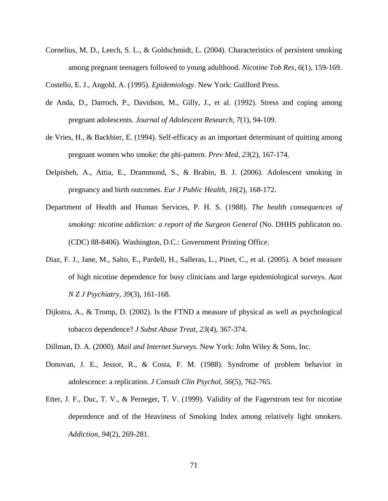Cornelius, M. D., Leech, S. L., & Goldschmidt, L. (2004). Characteristics of persistent smoking among pregnant teenagers followed to young adulthood. *Nicotine Tob Res, 6*(1), 159-169.

Costello, E. J., Angold, A. (1995). *Epidemiology*. New York: Guilford Press.

- de Anda, D., Darroch, P., Davidson, M., Gilly, J., et al. (1992). Stress and coping among pregnant adolescents. *Journal of Adolescent Research, 7*(1), 94-109.
- de Vries, H., & Backbier, E. (1994). Self-efficacy as an important determinant of quitting among pregnant women who smoke: the phi-pattern. *Prev Med, 23*(2), 167-174.
- Delpisheh, A., Attia, E., Drammond, S., & Brabin, B. J. (2006). Adolescent smoking in pregnancy and birth outcomes. *Eur J Public Health, 16*(2), 168-172.
- Department of Health and Human Services, P. H. S. (1988). *The health consequences of smoking: nicotine addiction: a report of the Surgeon General* (No. DHHS publicaton no. (CDC) 88-8406). Washington, D.C.: Government Printing Office.
- Diaz, F. J., Jane, M., Salto, E., Pardell, H., Salleras, L., Pinet, C., et al. (2005). A brief measure of high nicotine dependence for busy clinicians and large epidemiological surveys. *Aust N Z J Psychiatry, 39*(3), 161-168.
- Dijkstra, A., & Tromp, D. (2002). Is the FTND a measure of physical as well as psychological tobacco dependence? *J Subst Abuse Treat, 23*(4), 367-374.
- Dillman, D. A. (2000). *Mail and Internet Surveys.* New York: John Wiley & Sons, Inc.
- Donovan, J. E., Jessor, R., & Costa, F. M. (1988). Syndrome of problem behavior in adolescence: a replication. *J Consult Clin Psychol, 56*(5), 762-765.
- Etter, J. F., Duc, T. V., & Perneger, T. V. (1999). Validity of the Fagerstrom test for nicotine dependence and of the Heaviness of Smoking Index among relatively light smokers. *Addiction, 94*(2), 269-281.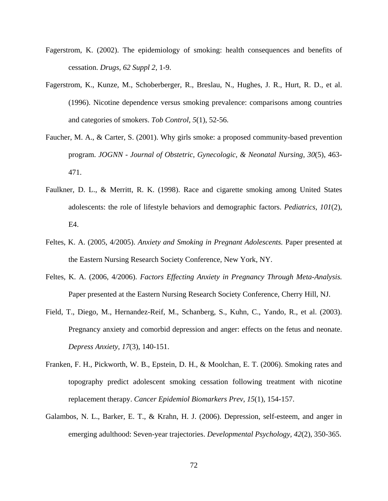- Fagerstrom, K. (2002). The epidemiology of smoking: health consequences and benefits of cessation. *Drugs, 62 Suppl 2*, 1-9.
- Fagerstrom, K., Kunze, M., Schoberberger, R., Breslau, N., Hughes, J. R., Hurt, R. D., et al. (1996). Nicotine dependence versus smoking prevalence: comparisons among countries and categories of smokers. *Tob Control, 5*(1), 52-56.
- Faucher, M. A., & Carter, S. (2001). Why girls smoke: a proposed community-based prevention program. *JOGNN - Journal of Obstetric, Gynecologic, & Neonatal Nursing, 30*(5), 463- 471.
- Faulkner, D. L., & Merritt, R. K. (1998). Race and cigarette smoking among United States adolescents: the role of lifestyle behaviors and demographic factors. *Pediatrics, 101*(2), E4.
- Feltes, K. A. (2005, 4/2005). *Anxiety and Smoking in Pregnant Adolescents.* Paper presented at the Eastern Nursing Research Society Conference, New York, NY.
- Feltes, K. A. (2006, 4/2006). *Factors Effecting Anxiety in Pregnancy Through Meta-Analysis.* Paper presented at the Eastern Nursing Research Society Conference, Cherry Hill, NJ.
- Field, T., Diego, M., Hernandez-Reif, M., Schanberg, S., Kuhn, C., Yando, R., et al. (2003). Pregnancy anxiety and comorbid depression and anger: effects on the fetus and neonate. *Depress Anxiety, 17*(3), 140-151.
- Franken, F. H., Pickworth, W. B., Epstein, D. H., & Moolchan, E. T. (2006). Smoking rates and topography predict adolescent smoking cessation following treatment with nicotine replacement therapy. *Cancer Epidemiol Biomarkers Prev, 15*(1), 154-157.
- Galambos, N. L., Barker, E. T., & Krahn, H. J. (2006). Depression, self-esteem, and anger in emerging adulthood: Seven-year trajectories. *Developmental Psychology, 42*(2), 350-365.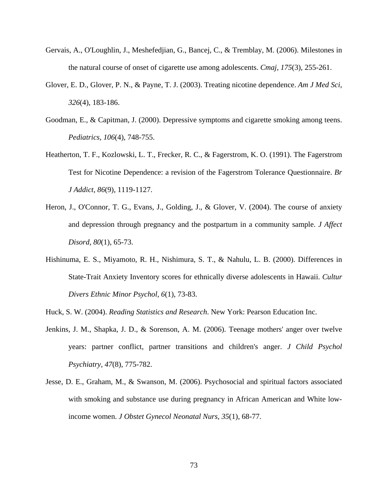- Gervais, A., O'Loughlin, J., Meshefedjian, G., Bancej, C., & Tremblay, M. (2006). Milestones in the natural course of onset of cigarette use among adolescents. *Cmaj, 175*(3), 255-261.
- Glover, E. D., Glover, P. N., & Payne, T. J. (2003). Treating nicotine dependence. *Am J Med Sci, 326*(4), 183-186.
- Goodman, E., & Capitman, J. (2000). Depressive symptoms and cigarette smoking among teens. *Pediatrics, 106*(4), 748-755.
- Heatherton, T. F., Kozlowski, L. T., Frecker, R. C., & Fagerstrom, K. O. (1991). The Fagerstrom Test for Nicotine Dependence: a revision of the Fagerstrom Tolerance Questionnaire. *Br J Addict, 86*(9), 1119-1127.
- Heron, J., O'Connor, T. G., Evans, J., Golding, J., & Glover, V. (2004). The course of anxiety and depression through pregnancy and the postpartum in a community sample. *J Affect Disord, 80*(1), 65-73.
- Hishinuma, E. S., Miyamoto, R. H., Nishimura, S. T., & Nahulu, L. B. (2000). Differences in State-Trait Anxiety Inventory scores for ethnically diverse adolescents in Hawaii. *Cultur Divers Ethnic Minor Psychol, 6*(1), 73-83.
- Huck, S. W. (2004). *Reading Statistics and Research*. New York: Pearson Education Inc.
- Jenkins, J. M., Shapka, J. D., & Sorenson, A. M. (2006). Teenage mothers' anger over twelve years: partner conflict, partner transitions and children's anger. *J Child Psychol Psychiatry, 47*(8), 775-782.
- Jesse, D. E., Graham, M., & Swanson, M. (2006). Psychosocial and spiritual factors associated with smoking and substance use during pregnancy in African American and White lowincome women. *J Obstet Gynecol Neonatal Nurs, 35*(1), 68-77.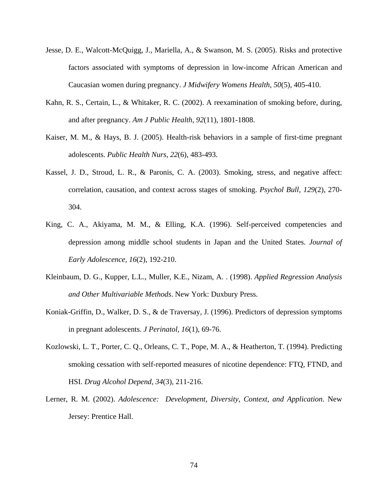- Jesse, D. E., Walcott-McQuigg, J., Mariella, A., & Swanson, M. S. (2005). Risks and protective factors associated with symptoms of depression in low-income African American and Caucasian women during pregnancy. *J Midwifery Womens Health, 50*(5), 405-410.
- Kahn, R. S., Certain, L., & Whitaker, R. C. (2002). A reexamination of smoking before, during, and after pregnancy. *Am J Public Health, 92*(11), 1801-1808.
- Kaiser, M. M., & Hays, B. J. (2005). Health-risk behaviors in a sample of first-time pregnant adolescents. *Public Health Nurs, 22*(6), 483-493.
- Kassel, J. D., Stroud, L. R., & Paronis, C. A. (2003). Smoking, stress, and negative affect: correlation, causation, and context across stages of smoking. *Psychol Bull, 129*(2), 270- 304.
- King, C. A., Akiyama, M. M., & Elling, K.A. (1996). Self-perceived competencies and depression among middle school students in Japan and the United States. *Journal of Early Adolescence, 16*(2), 192-210.
- Kleinbaum, D. G., Kupper, L.L., Muller, K.E., Nizam, A. . (1998). *Applied Regression Analysis and Other Multivariable Methods*. New York: Duxbury Press.
- Koniak-Griffin, D., Walker, D. S., & de Traversay, J. (1996). Predictors of depression symptoms in pregnant adolescents. *J Perinatol, 16*(1), 69-76.
- Kozlowski, L. T., Porter, C. Q., Orleans, C. T., Pope, M. A., & Heatherton, T. (1994). Predicting smoking cessation with self-reported measures of nicotine dependence: FTQ, FTND, and HSI. *Drug Alcohol Depend, 34*(3), 211-216.
- Lerner, R. M. (2002). *Adolescence: Development, Diversity, Context, and Application*. New Jersey: Prentice Hall.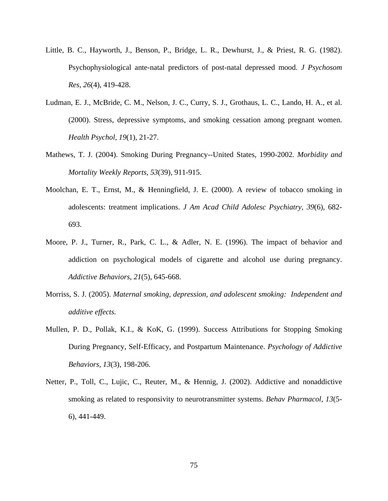- Little, B. C., Hayworth, J., Benson, P., Bridge, L. R., Dewhurst, J., & Priest, R. G. (1982). Psychophysiological ante-natal predictors of post-natal depressed mood. *J Psychosom Res, 26*(4), 419-428.
- Ludman, E. J., McBride, C. M., Nelson, J. C., Curry, S. J., Grothaus, L. C., Lando, H. A., et al. (2000). Stress, depressive symptoms, and smoking cessation among pregnant women. *Health Psychol, 19*(1), 21-27.
- Mathews, T. J. (2004). Smoking During Pregnancy--United States, 1990-2002. *Morbidity and Mortality Weekly Reports, 53*(39), 911-915.
- Moolchan, E. T., Ernst, M., & Henningfield, J. E. (2000). A review of tobacco smoking in adolescents: treatment implications. *J Am Acad Child Adolesc Psychiatry, 39*(6), 682- 693.
- Moore, P. J., Turner, R., Park, C. L., & Adler, N. E. (1996). The impact of behavior and addiction on psychological models of cigarette and alcohol use during pregnancy. *Addictive Behaviors, 21*(5), 645-668.
- Morriss, S. J. (2005). *Maternal smoking, depression, and adolescent smoking: Independent and additive effects.*
- Mullen, P. D., Pollak, K.I., & KoK, G. (1999). Success Attributions for Stopping Smoking During Pregnancy, Self-Efficacy, and Postpartum Maintenance. *Psychology of Addictive Behaviors, 13*(3), 198-206.
- Netter, P., Toll, C., Lujic, C., Reuter, M., & Hennig, J. (2002). Addictive and nonaddictive smoking as related to responsivity to neurotransmitter systems. *Behav Pharmacol, 13*(5- 6), 441-449.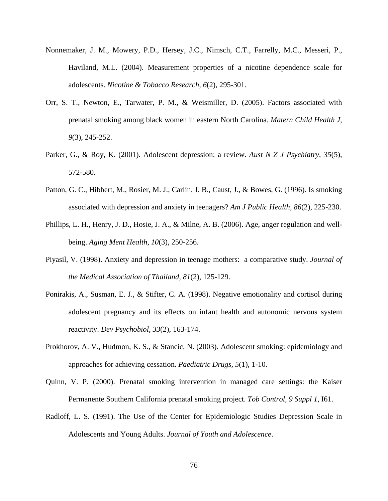- Nonnemaker, J. M., Mowery, P.D., Hersey, J.C., Nimsch, C.T., Farrelly, M.C., Messeri, P., Haviland, M.L. (2004). Measurement properties of a nicotine dependence scale for adolescents. *Nicotine & Tobacco Research, 6*(2), 295-301.
- Orr, S. T., Newton, E., Tarwater, P. M., & Weismiller, D. (2005). Factors associated with prenatal smoking among black women in eastern North Carolina. *Matern Child Health J, 9*(3), 245-252.
- Parker, G., & Roy, K. (2001). Adolescent depression: a review. *Aust N Z J Psychiatry, 35*(5), 572-580.
- Patton, G. C., Hibbert, M., Rosier, M. J., Carlin, J. B., Caust, J., & Bowes, G. (1996). Is smoking associated with depression and anxiety in teenagers? *Am J Public Health, 86*(2), 225-230.
- Phillips, L. H., Henry, J. D., Hosie, J. A., & Milne, A. B. (2006). Age, anger regulation and wellbeing. *Aging Ment Health, 10*(3), 250-256.
- Piyasil, V. (1998). Anxiety and depression in teenage mothers: a comparative study. *Journal of the Medical Association of Thailand, 81*(2), 125-129.
- Ponirakis, A., Susman, E. J., & Stifter, C. A. (1998). Negative emotionality and cortisol during adolescent pregnancy and its effects on infant health and autonomic nervous system reactivity. *Dev Psychobiol, 33*(2), 163-174.
- Prokhorov, A. V., Hudmon, K. S., & Stancic, N. (2003). Adolescent smoking: epidemiology and approaches for achieving cessation. *Paediatric Drugs, 5*(1), 1-10.
- Quinn, V. P. (2000). Prenatal smoking intervention in managed care settings: the Kaiser Permanente Southern California prenatal smoking project. *Tob Control, 9 Suppl 1*, I61.
- Radloff, L. S. (1991). The Use of the Center for Epidemiologic Studies Depression Scale in Adolescents and Young Adults. *Journal of Youth and Adolescence*.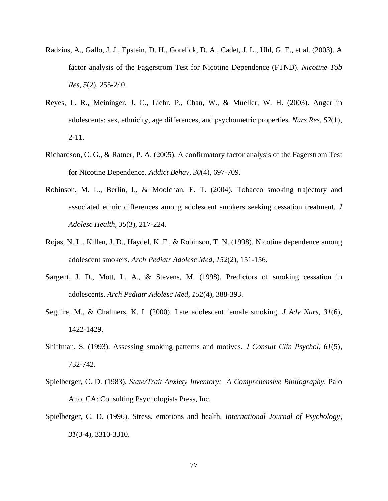- Radzius, A., Gallo, J. J., Epstein, D. H., Gorelick, D. A., Cadet, J. L., Uhl, G. E., et al. (2003). A factor analysis of the Fagerstrom Test for Nicotine Dependence (FTND). *Nicotine Tob Res, 5*(2), 255-240.
- Reyes, L. R., Meininger, J. C., Liehr, P., Chan, W., & Mueller, W. H. (2003). Anger in adolescents: sex, ethnicity, age differences, and psychometric properties. *Nurs Res, 52*(1), 2-11.
- Richardson, C. G., & Ratner, P. A. (2005). A confirmatory factor analysis of the Fagerstrom Test for Nicotine Dependence. *Addict Behav, 30*(4), 697-709.
- Robinson, M. L., Berlin, I., & Moolchan, E. T. (2004). Tobacco smoking trajectory and associated ethnic differences among adolescent smokers seeking cessation treatment. *J Adolesc Health, 35*(3), 217-224.
- Rojas, N. L., Killen, J. D., Haydel, K. F., & Robinson, T. N. (1998). Nicotine dependence among adolescent smokers. *Arch Pediatr Adolesc Med, 152*(2), 151-156.
- Sargent, J. D., Mott, L. A., & Stevens, M. (1998). Predictors of smoking cessation in adolescents. *Arch Pediatr Adolesc Med, 152*(4), 388-393.
- Seguire, M., & Chalmers, K. I. (2000). Late adolescent female smoking. *J Adv Nurs, 31*(6), 1422-1429.
- Shiffman, S. (1993). Assessing smoking patterns and motives. *J Consult Clin Psychol, 61*(5), 732-742.
- Spielberger, C. D. (1983). *State/Trait Anxiety Inventory: A Comprehensive Bibliography*. Palo Alto, CA: Consulting Psychologists Press, Inc.
- Spielberger, C. D. (1996). Stress, emotions and health. *International Journal of Psychology, 31*(3-4), 3310-3310.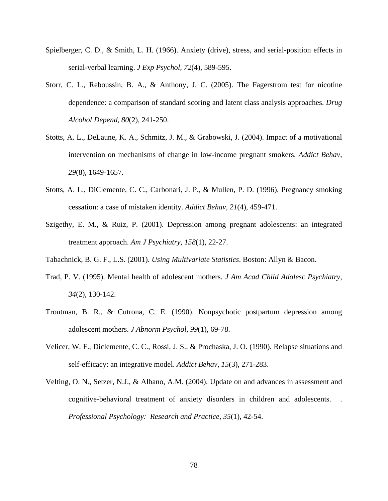- Spielberger, C. D., & Smith, L. H. (1966). Anxiety (drive), stress, and serial-position effects in serial-verbal learning. *J Exp Psychol, 72*(4), 589-595.
- Storr, C. L., Reboussin, B. A., & Anthony, J. C. (2005). The Fagerstrom test for nicotine dependence: a comparison of standard scoring and latent class analysis approaches. *Drug Alcohol Depend, 80*(2), 241-250.
- Stotts, A. L., DeLaune, K. A., Schmitz, J. M., & Grabowski, J. (2004). Impact of a motivational intervention on mechanisms of change in low-income pregnant smokers. *Addict Behav, 29*(8), 1649-1657.
- Stotts, A. L., DiClemente, C. C., Carbonari, J. P., & Mullen, P. D. (1996). Pregnancy smoking cessation: a case of mistaken identity. *Addict Behav, 21*(4), 459-471.
- Szigethy, E. M., & Ruiz, P. (2001). Depression among pregnant adolescents: an integrated treatment approach. *Am J Psychiatry, 158*(1), 22-27.
- Tabachnick, B. G. F., L.S. (2001). *Using Multivariate Statistics*. Boston: Allyn & Bacon.
- Trad, P. V. (1995). Mental health of adolescent mothers. *J Am Acad Child Adolesc Psychiatry, 34*(2), 130-142.
- Troutman, B. R., & Cutrona, C. E. (1990). Nonpsychotic postpartum depression among adolescent mothers. *J Abnorm Psychol, 99*(1), 69-78.
- Velicer, W. F., Diclemente, C. C., Rossi, J. S., & Prochaska, J. O. (1990). Relapse situations and self-efficacy: an integrative model. *Addict Behav, 15*(3), 271-283.
- Velting, O. N., Setzer, N.J., & Albano, A.M. (2004). Update on and advances in assessment and cognitive-behavioral treatment of anxiety disorders in children and adolescents. . *Professional Psychology: Research and Practice, 35*(1), 42-54.